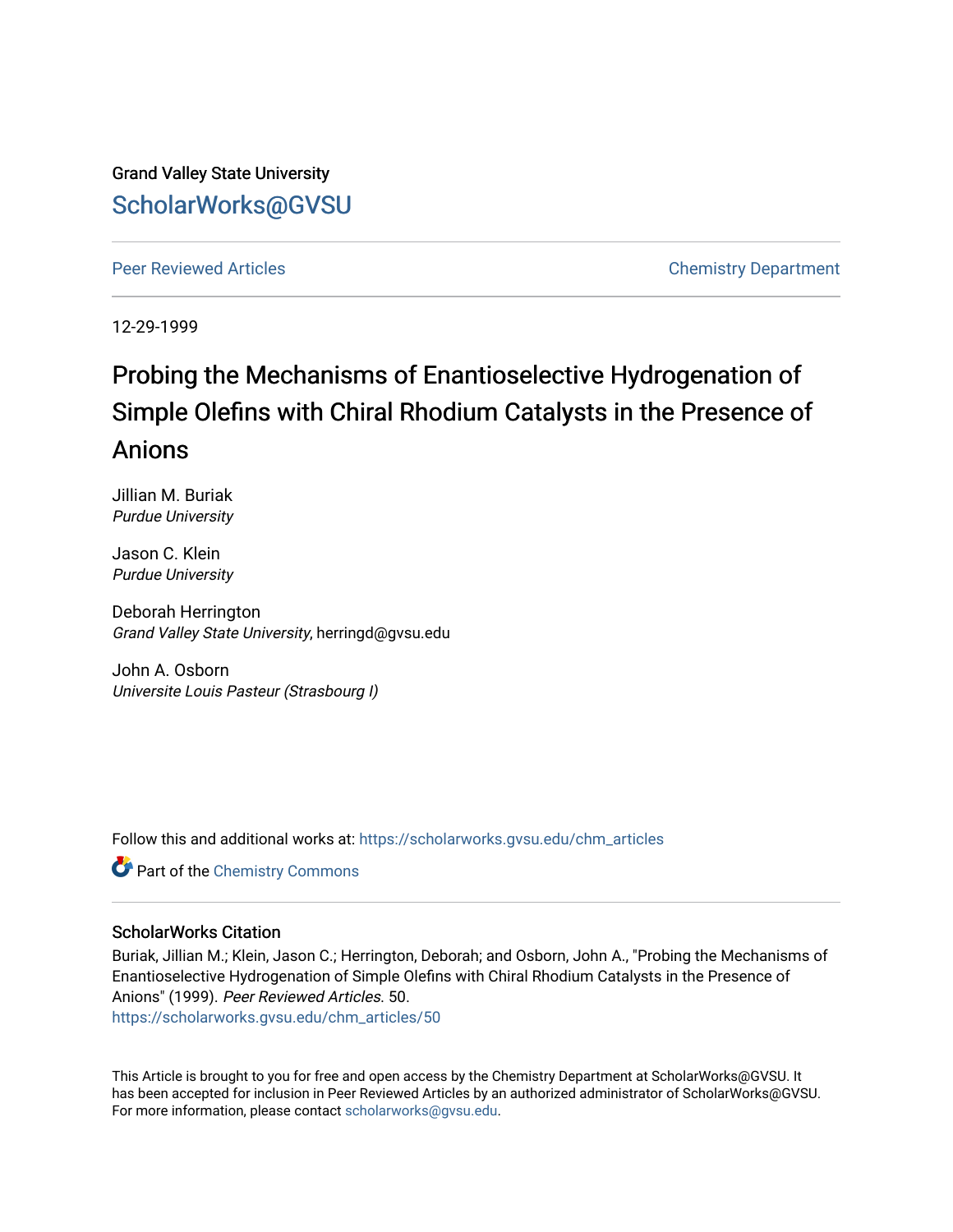Grand Valley State University [ScholarWorks@GVSU](https://scholarworks.gvsu.edu/) 

[Peer Reviewed Articles](https://scholarworks.gvsu.edu/chm_articles) **Chemistry Department** 

12-29-1999

# Probing the Mechanisms of Enantioselective Hydrogenation of Simple Olefins with Chiral Rhodium Catalysts in the Presence of Anions

Jillian M. Buriak Purdue University

Jason C. Klein Purdue University

Deborah Herrington Grand Valley State University, herringd@gvsu.edu

John A. Osborn Universite Louis Pasteur (Strasbourg I)

Follow this and additional works at: [https://scholarworks.gvsu.edu/chm\\_articles](https://scholarworks.gvsu.edu/chm_articles?utm_source=scholarworks.gvsu.edu%2Fchm_articles%2F50&utm_medium=PDF&utm_campaign=PDFCoverPages) 

**Part of the Chemistry Commons** 

### ScholarWorks Citation

Buriak, Jillian M.; Klein, Jason C.; Herrington, Deborah; and Osborn, John A., "Probing the Mechanisms of Enantioselective Hydrogenation of Simple Olefins with Chiral Rhodium Catalysts in the Presence of Anions" (1999). Peer Reviewed Articles. 50. [https://scholarworks.gvsu.edu/chm\\_articles/50](https://scholarworks.gvsu.edu/chm_articles/50?utm_source=scholarworks.gvsu.edu%2Fchm_articles%2F50&utm_medium=PDF&utm_campaign=PDFCoverPages)

This Article is brought to you for free and open access by the Chemistry Department at ScholarWorks@GVSU. It has been accepted for inclusion in Peer Reviewed Articles by an authorized administrator of ScholarWorks@GVSU. For more information, please contact [scholarworks@gvsu.edu.](mailto:scholarworks@gvsu.edu)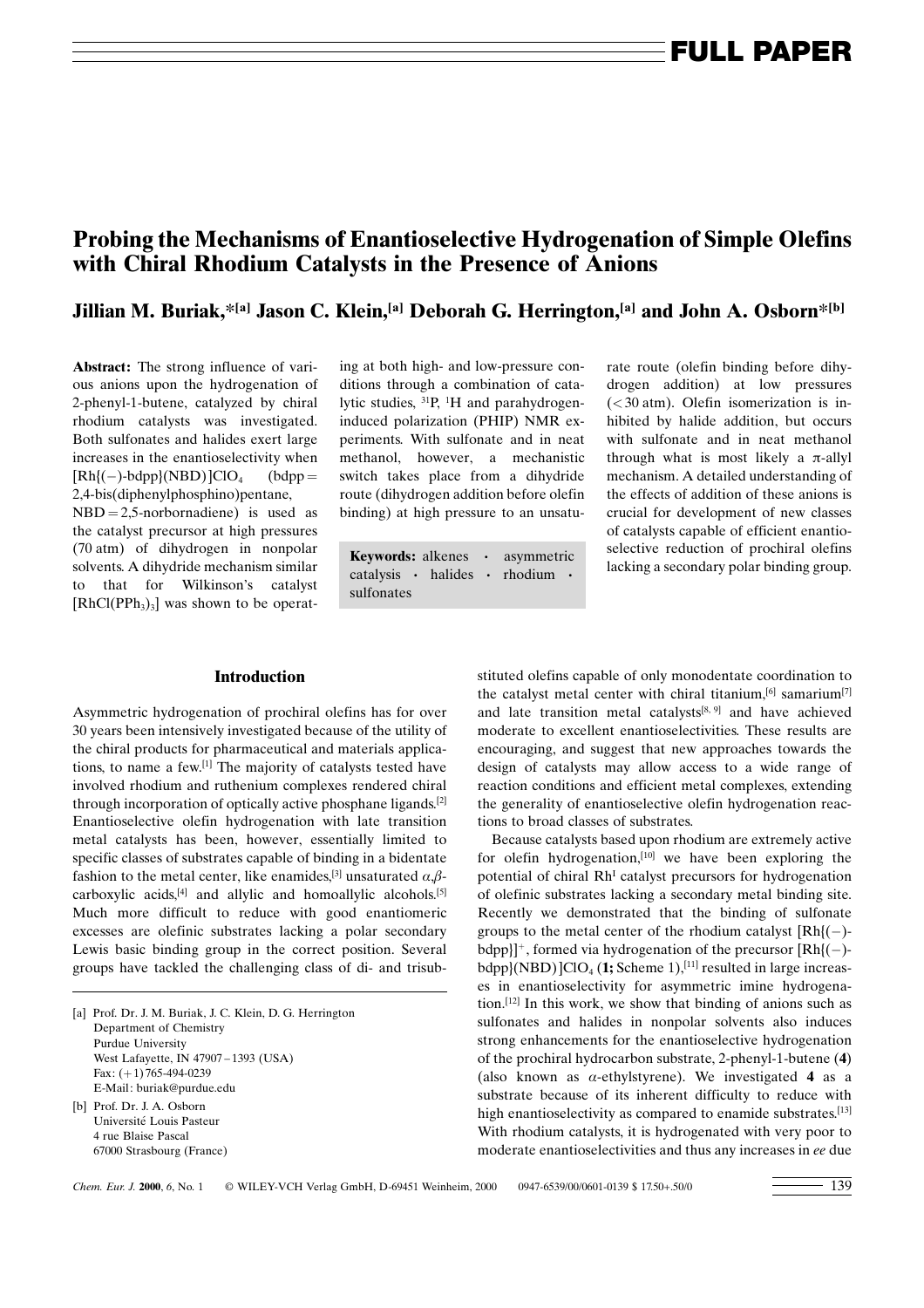## Probing the Mechanisms of Enantioselective Hydrogenation of Simple Olefins with Chiral Rhodium Catalysts in the Presence of Anions

Jillian M. Buriak,\*[a] Jason C. Klein,<sup>[a]</sup> Deborah G. Herrington,<sup>[a]</sup> and John A. Osborn\*<sup>[b]</sup>

Abstract: The strong influence of various anions upon the hydrogenation of 2-phenyl-1-butene, catalyzed by chiral rhodium catalysts was investigated. Both sulfonates and halides exert large increases in the enantioselectivity when  $[Rh](-)$ -bdpp $|(NBD)|ClO_4$  (bdpp = 2,4-bis(diphenylphosphino)pentane,

 $NBD = 2,5$ -norbornadiene) is used as the catalyst precursor at high pressures (70 atm) of dihydrogen in nonpolar solvents. A dihydride mechanism similar to that for Wilkinson's catalyst  $[RhCl(PPh<sub>3</sub>)<sub>3</sub>]$  was shown to be operating at both high- and low-pressure conditions through a combination of catalytic studies, <sup>31</sup>P, <sup>1</sup>H and parahydrogeninduced polarization (PHIP) NMR experiments. With sulfonate and in neat methanol, however, a mechanistic switch takes place from a dihydride route (dihydrogen addition before olefin binding) at high pressure to an unsatu-

**Keywords:** alkenes · asymmetric selective reduction of procurrent of equal of equal of equal of equal of procurrent catalysis · halides · rhodium · and alcohing a secondary polar binding group. catalysis · halides · sulfonates

rate route (olefin binding before dihydrogen addition) at low pressures  $(<$ 30 atm). Olefin isomerization is inhibited by halide addition, but occurs with sulfonate and in neat methanol through what is most likely a  $\pi$ -allyl mechanism. A detailed understanding of the effects of addition of these anions is crucial for development of new classes of catalysts capable of efficient enantioselective reduction of prochiral olefins

#### **Introduction**

Asymmetric hydrogenation of prochiral olefins has for over 30 years been intensively investigated because of the utility of the chiral products for pharmaceutical and materials applications, to name a few.[1] The majority of catalysts tested have involved rhodium and ruthenium complexes rendered chiral through incorporation of optically active phosphane ligands.[2] Enantioselective olefin hydrogenation with late transition metal catalysts has been, however, essentially limited to specific classes of substrates capable of binding in a bidentate fashion to the metal center, like enamides,<sup>[3]</sup> unsaturated  $\alpha$ , $\beta$ carboxylic acids, $[4]$  and allylic and homoallylic alcohols.<sup>[5]</sup> Much more difficult to reduce with good enantiomeric excesses are olefinic substrates lacking a polar secondary Lewis basic binding group in the correct position. Several groups have tackled the challenging class of di- and trisub-

[a] Prof. Dr. J. M. Buriak, J. C. Klein, D. G. Herrington Department of Chemistry Purdue University West Lafayette, IN 47907-1393 (USA) Fax:  $(+1)$  765-494-0239 E-Mail: buriak@purdue.edu [b] Prof. Dr. J. A. Osborn Université Louis Pasteur 4 rue Blaise Pascal

67000 Strasbourg (France)

stituted olefins capable of only monodentate coordination to the catalyst metal center with chiral titanium,  $[6]$  samarium $[7]$ and late transition metal catalysts[8,9] and have achieved moderate to excellent enantioselectivities. These results are encouraging, and suggest that new approaches towards the design of catalysts may allow access to a wide range of reaction conditions and efficient metal complexes, extending the generality of enantioselective olefin hydrogenation reactions to broad classes of substrates.

Because catalysts based upon rhodium are extremely active for olefin hydrogenation,[10] we have been exploring the potential of chiral RhI catalyst precursors for hydrogenation of olefinic substrates lacking a secondary metal binding site. Recently we demonstrated that the binding of sulfonate groups to the metal center of the rhodium catalyst  $[Rh](-)$ bdpp}]<sup>+</sup>, formed via hydrogenation of the precursor  $[Rh](-)$  $bdpp$ }(NBD) ]ClO<sub>4</sub> (1; Scheme 1),<sup>[11]</sup> resulted in large increases in enantioselectivity for asymmetric imine hydrogenation.[12] In this work, we show that binding of anions such as sulfonates and halides in nonpolar solvents also induces strong enhancements for the enantioselective hydrogenation of the prochiral hydrocarbon substrate, 2-phenyl-1-butene (4) (also known as  $\alpha$ -ethylstyrene). We investigated 4 as a substrate because of its inherent difficulty to reduce with high enantioselectivity as compared to enamide substrates.<sup>[13]</sup> With rhodium catalysts, it is hydrogenated with very poor to moderate enantioselectivities and thus any increases in ee due

 $Chem. Eur. J. 2000. 6. No. 1 \quad \textcircled{WILEY-VCH Verlag GmbH, D-69451 Weinheim, 2000} 0947-6539/00/0601-0139 $ 17.50+.50/0 \quad \textcircled{139}$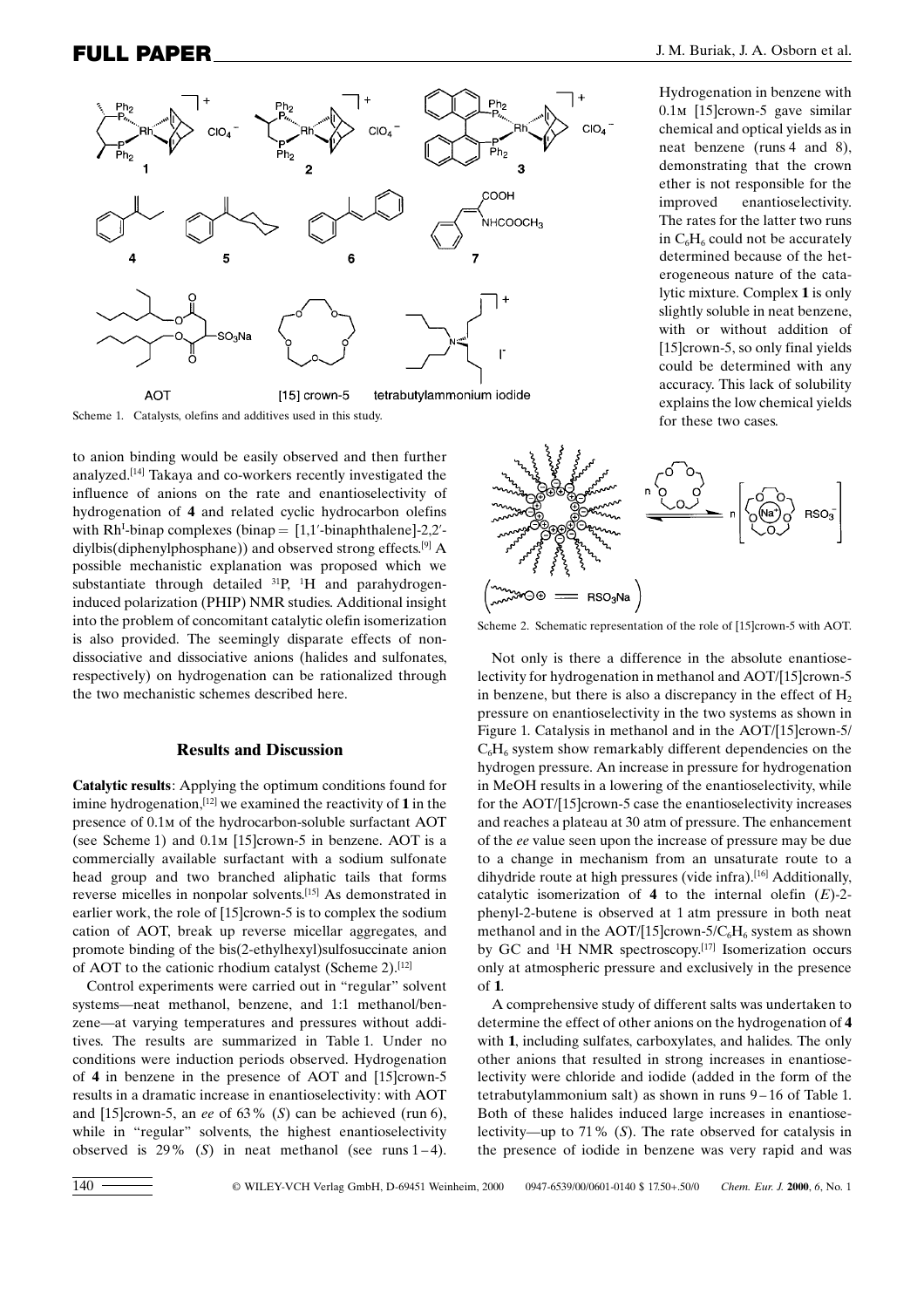

Scheme 1. Catalysts, olefins and additives used in this study.

to anion binding would be easily observed and then further analyzed. [14] Takaya and co-workers recently investigated the influence of anions on the rate and enantioselectivity of hydrogenation of 4 and related cyclic hydrocarbon olefins with  $Rh<sup>I</sup>$ -binap complexes (binap = [1,1'-binaphthalene]-2,2'diylbis(diphenylphosphane)) and observed strong effects. [9] A possible mechanistic explanation was proposed which we substantiate through detailed  $^{31}P$ ,  $^{1}H$  and parahydrogeninduced polarization (PHIP) NMR studies. Additional insight into the problem of concomitant catalytic olefin isomerization is also provided. The seemingly disparate effects of nondissociative and dissociative anions (halides and sulfonates, respectively) on hydrogenation can be rationalized through the two mechanistic schemes described here.

#### Results and Discussion

Catalytic results: Applying the optimum conditions found for imine hydrogenation,  $[12]$  we examined the reactivity of 1 in the presence of 0.1m of the hydrocarbon-soluble surfactant AOT (see Scheme 1) and 0.1m [15]crown-5 in benzene. AOT is a commercially available surfactant with a sodium sulfonate head group and two branched aliphatic tails that forms reverse micelles in nonpolar solvents. [15] As demonstrated in earlier work, the role of [15]crown-5 is to complex the sodium cation of AOT, break up reverse micellar aggregates, and promote binding of the bis(2-ethylhexyl)sulfosuccinate anion of AOT to the cationic rhodium catalyst (Scheme 2).[12]

Control experiments were carried out in "regular" solvent systems—neat methanol, benzene, and 1:1 methanol/benzene—at varying temperatures and pressures without additives. The results are summarized in Table 1. Under no conditions were induction periods observed. Hydrogenation of 4 in benzene in the presence of AOT and [15]crown-5 results in a dramatic increase in enantioselectivity: with AOT and [15]crown-5, an ee of  $63\%$  (S) can be achieved (run 6), while in "regular" solvents, the highest enantioselectivity observed is  $29\%$  (S) in neat methanol (see runs 1-4).

Hydrogenation in benzene with 0.1m [15]crown-5 gave similar chemical and optical yields as in neat benzene (runs 4 and 8), demonstrating that the crown ether is not responsible for the improved enantioselectivity. The rates for the latter two runs in  $C_6H_6$  could not be accurately determined because of the heterogeneous nature of the catalytic mixture. Complex 1 is only slightly soluble in neat benzene, with or without addition of [15]crown-5, so only final yields could be determined with any accuracy. This lack of solubility explains the low chemical yields for these two cases.



Scheme 2. Schematic representation of the role of [15]crown-5 with AOT.

Not only is there a difference in the absolute enantioselectivity for hydrogenation in methanol and AOT/[15]crown-5 in benzene, but there is also a discrepancy in the effect of  $H_2$ pressure on enantioselectivity in the two systems as shown in Figure 1. Catalysis in methanol and in the AOT/[15]crown-5/  $C_6H_6$  system show remarkably different dependencies on the hydrogen pressure. An increase in pressure for hydrogenation in MeOH results in a lowering of the enantioselectivity, while for the AOT/[15]crown-5 case the enantioselectivity increases and reaches a plateau at 30 atm of pressure. The enhancement of the ee value seen upon the increase of pressure may be due to a change in mechanism from an unsaturate route to a dihydride route at high pressures (vide infra).[16] Additionally, catalytic isomerization of 4 to the internal olefin  $(E)$ -2phenyl-2-butene is observed at 1 atm pressure in both neat methanol and in the AOT/[15]crown-5/ $C_6H_6$  system as shown by GC and <sup>1</sup> H NMR spectroscopy. [17] Isomerization occurs only at atmospheric pressure and exclusively in the presence  $of 1$ 

A comprehensive study of different salts was undertaken to determine the effect of other anions on the hydrogenation of 4 with 1, including sulfates, carboxylates, and halides. The only other anions that resulted in strong increases in enantioselectivity were chloride and iodide (added in the form of the tetrabutylammonium salt) as shown in runs  $9-16$  of Table 1. Both of these halides induced large increases in enantioselectivity—up to 71% (S). The rate observed for catalysis in the presence of iodide in benzene was very rapid and was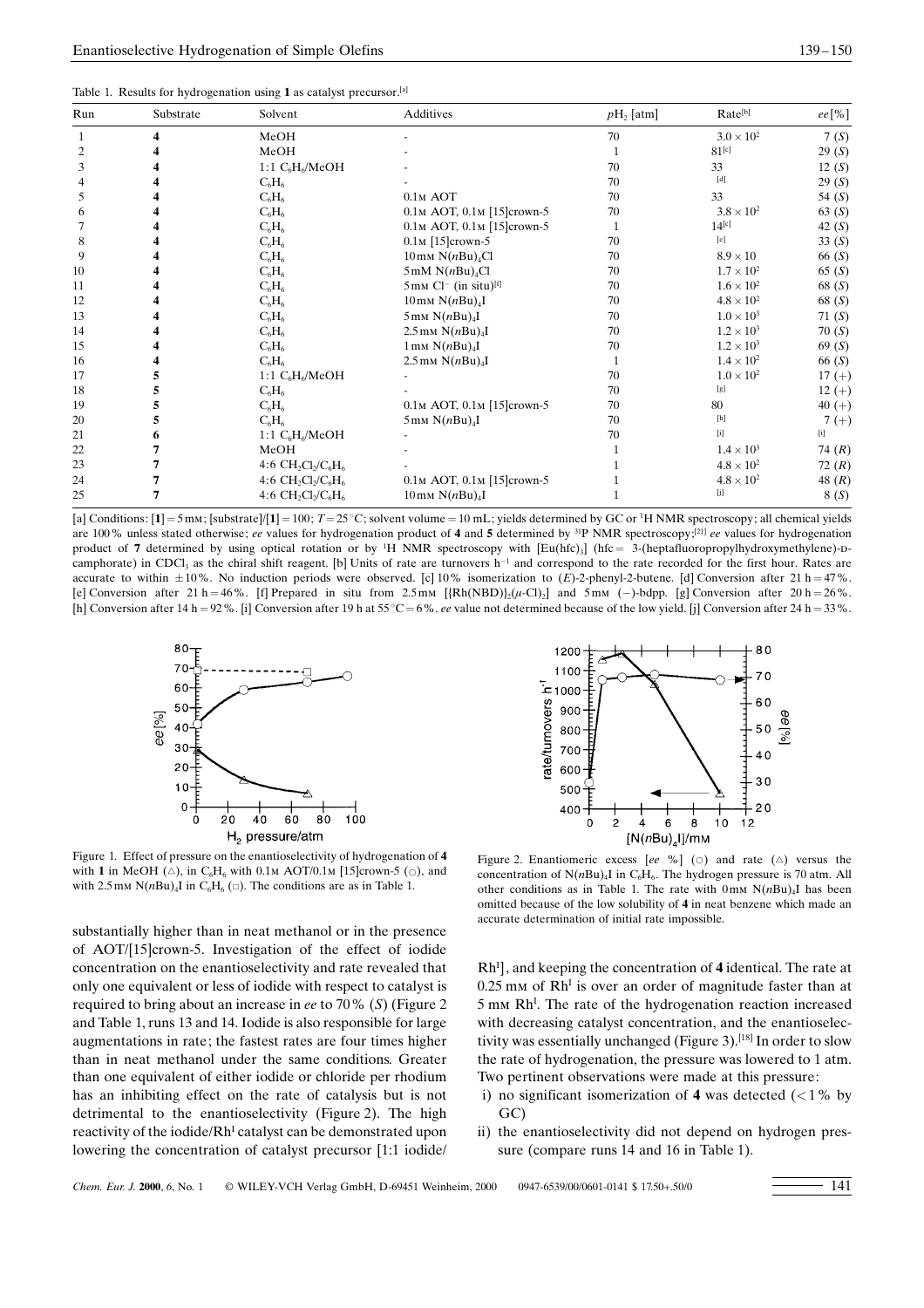|  | Table 1. Results for hydrogenation using 1 as catalyst precursor. <sup>[a]</sup> |  |  |
|--|----------------------------------------------------------------------------------|--|--|
|  |                                                                                  |  |  |

| Run           | Substrate | Solvent               | Additives                                              | $pH_2$ [atm] | Rate <sup>[b]</sup>                                                                                                                                                                                                                                                                                                                                                                                                                                                                                                                                                                            | ee [%]      |
|---------------|-----------|-----------------------|--------------------------------------------------------|--------------|------------------------------------------------------------------------------------------------------------------------------------------------------------------------------------------------------------------------------------------------------------------------------------------------------------------------------------------------------------------------------------------------------------------------------------------------------------------------------------------------------------------------------------------------------------------------------------------------|-------------|
|               |           | MeOH                  |                                                        | 70           | $3.0 \times 10^{2}$                                                                                                                                                                                                                                                                                                                                                                                                                                                                                                                                                                            | 7(S)        |
| 2             |           | MeOH                  |                                                        |              | $81^{[c]}$                                                                                                                                                                                                                                                                                                                                                                                                                                                                                                                                                                                     | 29(S)       |
| 3             |           | 1:1 $C_6H_6/MeOH$     |                                                        | 70           | 33                                                                                                                                                                                                                                                                                                                                                                                                                                                                                                                                                                                             | 12(S)       |
|               |           | $C_6H_6$              |                                                        | 70           | $[d] % \begin{center} % \includegraphics[width=\linewidth]{imagesSupplemental_3.png} % \end{center} % \caption { % \textit{DefNet} of \textit{DefNet} and \textit{DefNet} and \textit{DefNet} and \textit{DefNet} and \textit{DefNet} and \textit{DefNet} and \textit{DefNet} and \textit{DefNet} and \textit{DefNet} and \textit{DefNet} and \textit{DefNet} and \textit{DefNet} and \textit{DefNet} and \textit{DefNet} and \textit{DefNet} and \textit{DefNet} and \textit{DefNet} and \textit{DefNet} and \textit{DefNet} and \textit{DefNet} and \textit{DefNet} and \textit{DefNet} and$ | 29(S)       |
| $\mathcal{D}$ |           | $C_6H_6$              | $0.1M$ AOT                                             | 70           | 33                                                                                                                                                                                                                                                                                                                                                                                                                                                                                                                                                                                             | 54 $(S)$    |
|               |           | $C_6H_6$              | 0.1м АОТ, 0.1м [15]crown-5                             | 70           | $3.8 \times 10^2$                                                                                                                                                                                                                                                                                                                                                                                                                                                                                                                                                                              | 63(S)       |
|               |           | $C_6H_6$              | 0.1м АОТ, 0.1м [15]crown-5                             |              | $14^{[c]}$                                                                                                                                                                                                                                                                                                                                                                                                                                                                                                                                                                                     | 42 $(S)$    |
| 8             |           | $C_6H_6$              | $0.1M$ [15] crown-5                                    | 70           | [e]                                                                                                                                                                                                                                                                                                                                                                                                                                                                                                                                                                                            | 33 $(S)$    |
| 9             |           | $C_6H_6$              | $10$ mm N( $nBu$ ) <sub>4</sub> Cl                     | 70           | $8.9 \times 10$                                                                                                                                                                                                                                                                                                                                                                                                                                                                                                                                                                                | 66(S)       |
| 10            |           | $C_6H_6$              | $5 \text{ mM } N(nBu)_{4}Cl$                           | 70           | $1.7 \times 10^{2}$                                                                                                                                                                                                                                                                                                                                                                                                                                                                                                                                                                            | 65 $(S)$    |
| 11            |           | $C_6H_6$              | $5 \text{mm}$ Cl <sup>-</sup> (in situ) <sup>[f]</sup> | 70           | $1.6 \times 10^{2}$                                                                                                                                                                                                                                                                                                                                                                                                                                                                                                                                                                            | 68 $(S)$    |
| 12            |           | $C_6H_6$              | $10 \text{mm} \text{N}(n \text{Bu})_4$ I               | 70           | $4.8 \times 10^{2}$                                                                                                                                                                                                                                                                                                                                                                                                                                                                                                                                                                            | 68 (S)      |
| 13            |           | $C_6H_6$              | $5 \text{mm}$ N( $n$ Bu) <sub>4</sub> I                | 70           | $1.0 \times 10^3$                                                                                                                                                                                                                                                                                                                                                                                                                                                                                                                                                                              | 71 $(S)$    |
| 14            |           | $C_6H_6$              | $2.5$ mm $N(nBu)_{4}I$                                 | 70           | $1.2 \times 10^{3}$                                                                                                                                                                                                                                                                                                                                                                                                                                                                                                                                                                            | 70(S)       |
| 15            |           | $C_6H_6$              | $1 \text{mm} \text{N}(n \text{Bu})_4$ I                | 70           | $1.2 \times 10^{3}$                                                                                                                                                                                                                                                                                                                                                                                                                                                                                                                                                                            | 69(S)       |
| 16            |           | $C_6H_6$              | $2.5$ mm $N(nBu)_{4}I$                                 |              | $1.4 \times 10^{2}$                                                                                                                                                                                                                                                                                                                                                                                                                                                                                                                                                                            | 66(S)       |
| 17            |           | 1:1 $C_6H_6/M$ eOH    |                                                        | 70           | $1.0 \times 10^{2}$                                                                                                                                                                                                                                                                                                                                                                                                                                                                                                                                                                            | $17 (+)$    |
| 18            |           | $C_6H_6$              |                                                        | 70           | [g]                                                                                                                                                                                                                                                                                                                                                                                                                                                                                                                                                                                            | $12 (+)$    |
| 19            |           | $C_6H_6$              | 0.1м АОТ, 0.1м [15]crown-5                             | 70           | 80                                                                                                                                                                                                                                                                                                                                                                                                                                                                                                                                                                                             | 40 $(+)$    |
| 20            |           | $C_6H_6$              | $5 \text{mm}$ N( $n$ Bu) <sub>4</sub> I                | 70           |                                                                                                                                                                                                                                                                                                                                                                                                                                                                                                                                                                                                | $7 (+)$     |
| 21            |           | 1:1 $C_6H_6/M$ eOH    |                                                        | 70           | $[$                                                                                                                                                                                                                                                                                                                                                                                                                                                                                                                                                                                            | $[{\rm i}]$ |
| 22            |           | MeOH                  |                                                        |              | $1.4 \times 10^{3}$                                                                                                                                                                                                                                                                                                                                                                                                                                                                                                                                                                            | 74 $(R)$    |
| 23            |           | 4:6 $CH_2Cl_2/C_6H_6$ |                                                        |              | $4.8 \times 10^2$                                                                                                                                                                                                                                                                                                                                                                                                                                                                                                                                                                              | 72 $(R)$    |
| 24            |           | 4:6 $CH_2Cl_2/C_6H_6$ | 0.1м АОТ, 0.1м [15] crown-5                            |              | $4.8 \times 10^{2}$                                                                                                                                                                                                                                                                                                                                                                                                                                                                                                                                                                            | 48 $(R)$    |
| 25            |           | 4:6 $CH_2Cl_2/C_6H_6$ | $10 \,\mathrm{mm} \, \mathrm{N}(n\mathrm{Bu})_4$ I     |              | [j]                                                                                                                                                                                                                                                                                                                                                                                                                                                                                                                                                                                            | 8(S)        |

[a] Conditions:  $[1] = 5$  mm; [substrate]/ $[1] = 100$ ;  $T = 25^{\circ}$ C; solvent volume = 10 mL; yields determined by GC or <sup>1</sup>H NMR spectroscopy; all chemical yields are 100% unless stated otherwise; ee values for hydrogenation product of 4 and 5 determined by  $^{31}P$  NMR spectroscopy; $^{[21]}$  ee values for hydrogenation product of 7 determined by using optical rotation or by <sup>1</sup>H NMR spectroscopy with  $[Eu(hfc)_3]$  (hfc = 3-(heptafluoropropylhydroxymethylene)-Dcamphorate) in CDCl<sub>3</sub> as the chiral shift reagent. [b] Units of rate are turnovers  $h^{-1}$  and correspond to the rate recorded for the first hour. Rates are accurate to within  $\pm 10\%$ . No induction periods were observed. [c] 10% isomerization to  $(E)$ -2-phenyl-2-butene. [d] Conversion after 21 h = 47%. [e] Conversion after 21 h = 46%. [f] Prepared in situ from 2.5 mm  $[\{Rh(NBD)\}]_2(\mu\text{-}Cl)_2]$  and 5 mm (-)-bdpp. [g] Conversion after 20 h = 26%. [h] Conversion after 14 h = 92%. [i] Conversion after 19 h at 55 °C = 6%. ee value not determined because of the low yield. [j] Conversion after 24 h = 33%.



Figure 1. Effect of pressure on the enantioselectivity of hydrogenation of 4 with 1 in MeOH ( $\triangle$ ), in C<sub>6</sub>H<sub>6</sub> with 0.1m AOT/0.1m [15]crown-5 ( $\odot$ ), and with 2.5 mm N( $nBu$ )<sub>4</sub>I in C<sub>6</sub>H<sub>6</sub> ( $\Box$ ). The conditions are as in Table 1.

substantially higher than in neat methanol or in the presence of AOT/[15]crown-5. Investigation of the effect of iodide concentration on the enantioselectivity and rate revealed that only one equivalent or less of iodide with respect to catalyst is required to bring about an increase in ee to 70% (S) (Figure 2 and Table 1, runs 13 and 14. Iodide is also responsible for large augmentations in rate; the fastest rates are four times higher than in neat methanol under the same conditions. Greater than one equivalent of either iodide or chloride per rhodium has an inhibiting effect on the rate of catalysis but is not detrimental to the enantioselectivity (Figure 2). The high reactivity of the iodide/Rh<sup>I</sup> catalyst can be demonstrated upon lowering the concentration of catalyst precursor [1:1 iodide/



Figure 2. Enantiomeric excess [ee %] ( $\circ$ ) and rate ( $\triangle$ ) versus the concentration of  $N(nBu)$ <sup>I</sup> in C<sub>6</sub>H<sub>6</sub>. The hydrogen pressure is 70 atm. All other conditions as in Table 1. The rate with  $0 \text{ mm N}(nBu)_{4}$ I has been omitted because of the low solubility of 4 in neat benzene which made an accurate determination of initial rate impossible.

Rh<sup>I</sup>], and keeping the concentration of 4 identical. The rate at  $0.25$  mm of Rh<sup>I</sup> is over an order of magnitude faster than at 5 mm Rh<sup>I</sup>. The rate of the hydrogenation reaction increased with decreasing catalyst concentration, and the enantioselectivity was essentially unchanged (Figure 3).<sup>[18]</sup> In order to slow the rate of hydrogenation, the pressure was lowered to 1 atm. Two pertinent observations were made at this pressure:

- i) no significant isomerization of 4 was detected  $\left($  < 1% by GC)
- ii) the enantioselectivity did not depend on hydrogen pressure (compare runs 14 and 16 in Table 1).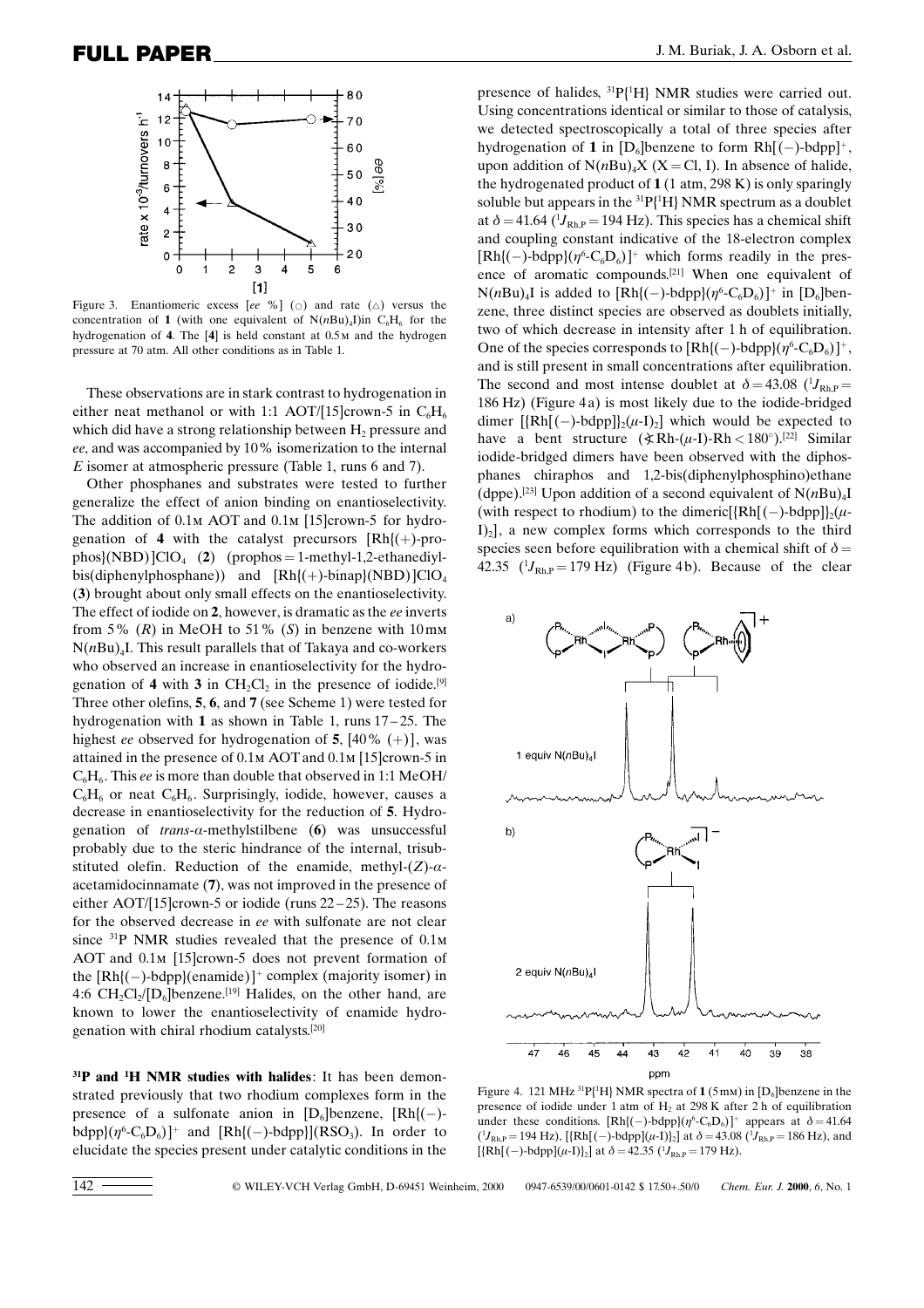

Figure 3. Enantiomeric excess [ee %] ( $\circ$ ) and rate ( $\triangle$ ) versus the concentration of 1 (with one equivalent of  $N(nBu)_{4}$ I)in  $C_{6}H_{6}$  for the hydrogenation of 4. The [4] is held constant at 0.5m and the hydrogen pressure at 70 atm. All other conditions as in Table 1.

These observations are in stark contrast to hydrogenation in either neat methanol or with 1:1 AOT/[15]crown-5 in  $C_6H_6$ which did have a strong relationship between  $H_2$  pressure and ee, and was accompanied by 10% isomerization to the internal E isomer at atmospheric pressure (Table 1, runs 6 and 7).

Other phosphanes and substrates were tested to further generalize the effect of anion binding on enantioselectivity. The addition of  $0.1M$  AOT and  $0.1M$  [15]crown-5 for hydrogenation of 4 with the catalyst precursors  $[Rh]$ (+)-prophos $\langle NBD \rangle$ ]ClO<sub>4</sub> (2) (prophos = 1-methyl-1,2-ethanediylbis(diphenylphosphane)) and  $[Rh]$ (+)-binap}(NBD)]ClO<sub>4</sub> (3) brought about only small effects on the enantioselectivity. The effect of iodide on 2, however, is dramatic as the ee inverts from 5%  $(R)$  in MeOH to 51%  $(S)$  in benzene with 10mm  $N(nBu)_{4}$ I. This result parallels that of Takaya and co-workers who observed an increase in enantioselectivity for the hydrogenation of 4 with 3 in  $CH_2Cl_2$  in the presence of iodide.<sup>[9]</sup> Three other olefins, 5, 6, and 7 (see Scheme 1) were tested for hydrogenation with 1 as shown in Table 1, runs  $17-25$ . The highest ee observed for hydrogenation of 5, [40%  $(+)$ ], was attained in the presence of 0.1m AOTand 0.1m [15]crown-5 in  $C_6H_6$ . This ee is more than double that observed in 1:1 MeOH/  $C_6H_6$  or neat  $C_6H_6$ . Surprisingly, iodide, however, causes a decrease in enantioselectivity for the reduction of 5. Hydrogenation of  $trans-\alpha$ -methylstilbene (6) was unsuccessful probably due to the steric hindrance of the internal, trisubstituted olefin. Reduction of the enamide, methyl- $(Z)$ - $\alpha$ acetamidocinnamate (7), was not improved in the presence of either AOT/[15]crown-5 or iodide (runs  $22-25$ ). The reasons for the observed decrease in ee with sulfonate are not clear since <sup>31</sup>P NMR studies revealed that the presence of 0.1m AOT and  $0.1$ <sub>M</sub> [15]crown-5 does not prevent formation of the [Rh{(ÿ)-bdpp}(enamide)] complex (majority isomer) in 4:6  $CH_2Cl_2/[D_6]$ benzene.<sup>[19]</sup> Halides, on the other hand, are known to lower the enantioselectivity of enamide hydrogenation with chiral rhodium catalysts. [20]

<sup>31</sup>P and <sup>1</sup>H NMR studies with halides: It has been demonstrated previously that two rhodium complexes form in the presence of a sulfonate anion in  $[D_6]$ benzene,  $[Rh](-)$ bdpp ${(\eta^6$ -C<sub>6</sub>D<sub>6</sub>)]<sup>+</sup> and [Rh{(-)-bdpp}](RSO<sub>3</sub>). In order to elucidate the species present under catalytic conditions in the

presence of halides,  ${}^{31}P{^1H}$  NMR studies were carried out. Using concentrations identical or similar to those of catalysis, we detected spectroscopically a total of three species after hydrogenation of 1 in  $[D_6]$ benzene to form Rh $[(-)$ -bdpp]<sup>+</sup>, upon addition of  $N(nBu)$ <sub>4</sub> $X$  ( $X = Cl$ , I). In absence of halide, the hydrogenated product of  $1(1 \text{ atm}, 298 \text{ K})$  is only sparingly soluble but appears in the  $^{31}P(^{1}H)$  NMR spectrum as a doublet at  $\delta = 41.64 \, (^1J_{\text{Rh,P}} = 194 \, \text{Hz})$ . This species has a chemical shift and coupling constant indicative of the 18-electron complex  $[Rh](-)$ -bdpp ${(\eta^6 \text{-} C_6D_6)}^+$  which forms readily in the presence of aromatic compounds.<sup>[21]</sup> When one equivalent of  $N(nBu)_{4}$ I is added to  $[Rh](-)$ -bdpp $)(\eta^{6}$ -C<sub>6</sub>D<sub>6</sub>) $]^{+}$  in  $[D_{6}]$ benzene, three distinct species are observed as doublets initially, two of which decrease in intensity after 1 h of equilibration. One of the species corresponds to  $[Rh](-)$ -bdpp $)(\eta^6$ -C<sub>6</sub>D<sub>6</sub>)<sup> $+$ </sup>, and is still present in small concentrations after equilibration. The second and most intense doublet at  $\delta = 43.08$  ( $^{1}J_{\text{Rh,P}} =$ 186 Hz) (Figure 4a) is most likely due to the iodide-bridged dimer  $[\{Rh[(-)-bdpp]\}_{2}(\mu-I)_{2}]$  which would be expected to have a bent structure  $(\angle Rh-(\mu-I)-Rh < 180^\circ).$ <sup>[22]</sup> Similar iodide-bridged dimers have been observed with the diphosphanes chiraphos and 1,2-bis(diphenylphosphino)ethane (dppe).<sup>[23]</sup> Upon addition of a second equivalent of  $N(nBu)_{4}I$ (with respect to rhodium) to the dimeric[{Rh[(-)-bdpp]}<sub>2</sub>( $\mu$ - $[I_2]$ , a new complex forms which corresponds to the third species seen before equilibration with a chemical shift of  $\delta$  = 42.35  $(^{1}J_{\text{Rh,P}} = 179 \text{ Hz})$  (Figure 4b). Because of the clear



Figure 4. 121 MHz  $^{31}P(^{1}H)$  NMR spectra of  $1(5 \text{mm})$  in [D<sub>6</sub>]benzene in the presence of iodide under 1 atm of  $H<sub>2</sub>$  at 298 K after 2 h of equilibration under these conditions.  $[Rh](-)-bdpp](\eta^6-C_6D_6)$ <sup>+</sup> appears at  $\delta = 41.64$  $(^{1}J_{\text{Rh,P}} = 194 \text{ Hz})$ , [{Rh[(-)-bdpp]( $\mu$ -I)}<sub>2</sub>] at  $\delta = 43.08 \ (^{1}J_{\text{Rh,P}} = 186 \text{ Hz})$ , and  $[{Rh[(-)-bdpp](\mu-I)}_2]$  at  $\delta = 42.35$   $({}^{1}J_{\text{Rh,P}} = 179 \text{ Hz}})$ .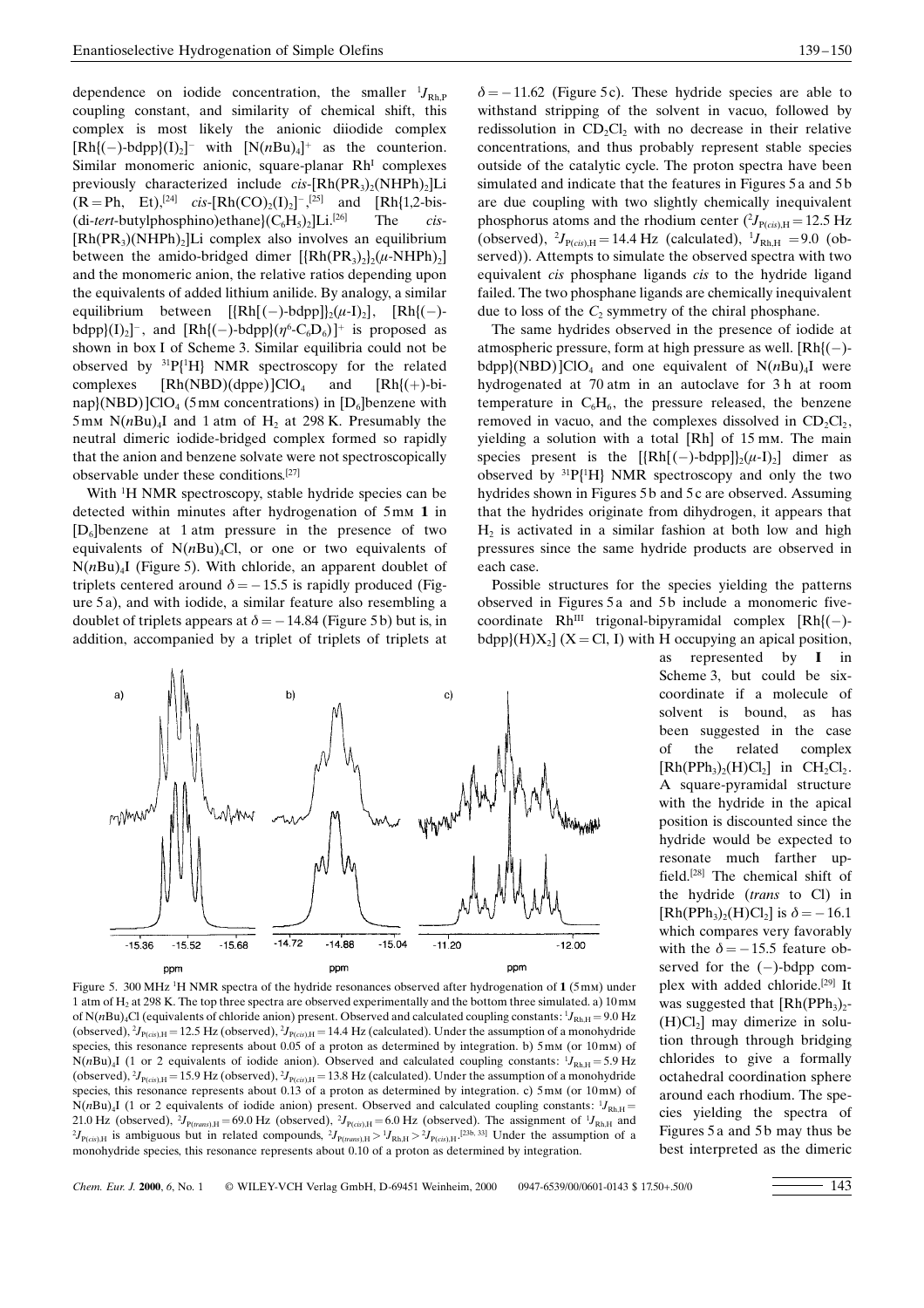dependence on iodide concentration, the smaller  ${}^{1}J_{\text{Rh,P}}$ coupling constant, and similarity of chemical shift, this complex is most likely the anionic diiodide complex  $[Rh](-)-bdpp](I)_2$ <sup>-</sup> with  $[N(nBu)_4]$ <sup>+</sup> as the counterion. Similar monomeric anionic, square-planar Rh<sup>I</sup> complexes previously characterized include  $cis$ -[Rh(PR<sub>3</sub>)<sub>2</sub>(NHPh)<sub>2</sub>]Li  $(R = Ph, Et)$ ,<sup>[24]</sup> *cis*-[Rh(CO)<sub>2</sub>(I)<sub>2</sub>]<sup>-</sup>,<sup>[25]</sup> and [Rh{1,2-bis-(di-tert-butylphosphino)ethane} $(C_6H_5)_2$ ]Li.<sup>[26]</sup> The *cis*- $[Rh(PR<sub>3</sub>)(NHPh)<sub>2</sub>]$ Li complex also involves an equilibrium between the amido-bridged dimer  $[\{Rh(PR_3), \}(\mu\text{-}NHPh)_2]$ and the monomeric anion, the relative ratios depending upon the equivalents of added lithium anilide. By analogy, a similar equilibrium between  $[\{Rh[(-)-bdpp]\}_{2}(\mu-I)_{2}]$ ,  $[Rh[(-)]$ bdpp} $(I)_2$ <sup>-</sup>, and  $[Rh](-)$ -bdpp} $(\eta^6$ -C<sub>6</sub>D<sub>6</sub>)<sup>-1</sup> is proposed as shown in box I of Scheme 3. Similar equilibria could not be observed by  ${}^{31}P{^1H}$  NMR spectroscopy for the related complexes  $[Rh(NBD)(dppe)]ClO<sub>4</sub>$  and  $[Rh]{(+)}-bi$ nap}(NBD)]ClO<sub>4</sub> (5mm concentrations) in  $[D_6]$ benzene with 5mm  $N(nBu)$ <sup>1</sup> and 1 atm of H<sub>2</sub> at 298 K. Presumably the neutral dimeric iodide-bridged complex formed so rapidly that the anion and benzene solvate were not spectroscopically observable under these conditions. [27]

With <sup>1</sup>H NMR spectroscopy, stable hydride species can be detected within minutes after hydrogenation of 5mm 1 in  $[D_6]$ benzene at 1 atm pressure in the presence of two equivalents of  $N(nBu)_{4}Cl$ , or one or two equivalents of  $N(nBu)$ <sub>4</sub>I (Figure 5). With chloride, an apparent doublet of triplets centered around  $\delta = -15.5$  is rapidly produced (Figure 5 a), and with iodide, a similar feature also resembling a doublet of triplets appears at  $\delta = -14.84$  (Figure 5b) but is, in addition, accompanied by a triplet of triplets of triplets at



Figure 5. 300 MHz <sup>1</sup>H NMR spectra of the hydride resonances observed after hydrogenation of 1 (5 mm) under 1 atm of H2 at 298 K. The top three spectra are observed experimentally and the bottom three simulated. a) 10mm of N(*n*Bu)<sub>4</sub>Cl (equivalents of chloride anion) present. Observed and calculated coupling constants:  ${}^{1}J_{\text{Rh,H}} = 9.0$  Hz (observed),  $^2J_{P(cis),H}$  = 12.5 Hz (observed),  $^2J_{P(cis),H}$  = 14.4 Hz (calculated). Under the assumption of a monohydride species, this resonance represents about 0.05 of a proton as determined by integration. b) 5mm (or 10mm) of  $N(nBu)$ <sub>4</sub>I (1 or 2 equivalents of iodide anion). Observed and calculated coupling constants:  ${}^{1}J_{Rh,H} = 5.9$  Hz (observed),  $\mathcal{I}_{P(cis),H} = 15.9$  Hz (observed),  $\mathcal{I}_{P(cis),H} = 13.8$  Hz (calculated). Under the assumption of a monohydride species, this resonance represents about 0.13 of a proton as determined by integration. c) 5mm (or 10mm) of  $N(nBu)$ <sub>4</sub>I (1 or 2 equivalents of iodide anion) present. Observed and calculated coupling constants:  ${}^{1}J_{Rh,H}$  = 21.0 Hz (observed),  $\mathcal{V}_{P(maxs),H} = 69.0$  Hz (observed),  $\mathcal{V}_{P(cis),H} = 6.0$  Hz (observed). The assignment of  $\mathcal{V}_{Rh,H}$  and  ${}^2J_{P(cis),H}$  is ambiguous but in related compounds,  ${}^2J_{P(rans),H} > {}^1J_{Rh,H} > {}^2J_{P(cis),H}$ . [23b, 33] Under the assumption of a monohydride species, this resonance represents about 0.10 of a proton as determined by integration.

 $\delta = -11.62$  (Figure 5c). These hydride species are able to withstand stripping of the solvent in vacuo, followed by redissolution in  $CD<sub>2</sub>Cl<sub>2</sub>$  with no decrease in their relative concentrations, and thus probably represent stable species outside of the catalytic cycle. The proton spectra have been simulated and indicate that the features in Figures 5a and 5b are due coupling with two slightly chemically inequivalent phosphorus atoms and the rhodium center  $(^2J_{P(cis),H} = 12.5 \text{ Hz}$ (observed),  ${}^{2}J_{P(cis),H} = 14.4 \text{ Hz}$  (calculated),  ${}^{1}J_{Rh,H} = 9.0 \text{ (ob-}$ served)). Attempts to simulate the observed spectra with two equivalent *cis* phosphane ligands *cis* to the hydride ligand failed. The two phosphane ligands are chemically inequivalent due to loss of the  $C_2$  symmetry of the chiral phosphane.

The same hydrides observed in the presence of iodide at atmospheric pressure, form at high pressure as well.  $[Rh](-)$ bdpp}(NBD)]ClO<sub>4</sub> and one equivalent of  $N(nBu)_{4}$  were hydrogenated at 70 atm in an autoclave for 3 h at room temperature in  $C_6H_6$ , the pressure released, the benzene removed in vacuo, and the complexes dissolved in  $CD_2Cl_2$ , yielding a solution with a total [Rh] of 15 mm. The main species present is the  $[\{Rh[(-)-bdpp]\}(u-I)_2]$  dimer as observed by  ${}^{31}P[{^1}H]$  NMR spectroscopy and only the two hydrides shown in Figures 5b and 5c are observed. Assuming that the hydrides originate from dihydrogen, it appears that  $H<sub>2</sub>$  is activated in a similar fashion at both low and high pressures since the same hydride products are observed in each case.

Possible structures for the species yielding the patterns observed in Figures 5 a and 5b include a monomeric fivecoordinate  $Rh^{III}$  trigonal-bipyramidal complex  $[Rh](-)$ bdpp}(H)X<sub>2</sub>] (X = Cl, I) with H occupying an apical position,<br>as represented by **I** in

represented by  $I$  in Scheme 3, but could be sixcoordinate if a molecule of solvent is bound, as has been suggested in the case of the related complex  $[Rh(PPh_3),(H)Cl_2]$  in CH<sub>2</sub>Cl<sub>2</sub>. A square-pyramidal structure with the hydride in the apical position is discounted since the hydride would be expected to resonate much farther upfield.[28] The chemical shift of the hydride (trans to Cl) in  $[Rh(PPh_3)_2(H)Cl_2]$  is  $\delta = -16.1$ which compares very favorably with the  $\delta = -15.5$  feature observed for the  $(-)$ -bdpp complex with added chloride. [29] It was suggested that  $[Rh(PPh_3)_2$ - $(H)Cl<sub>2</sub>$ ] may dimerize in solution through through bridging chlorides to give a formally octahedral coordination sphere around each rhodium. The species yielding the spectra of Figures 5 a and 5b may thus be best interpreted as the dimeric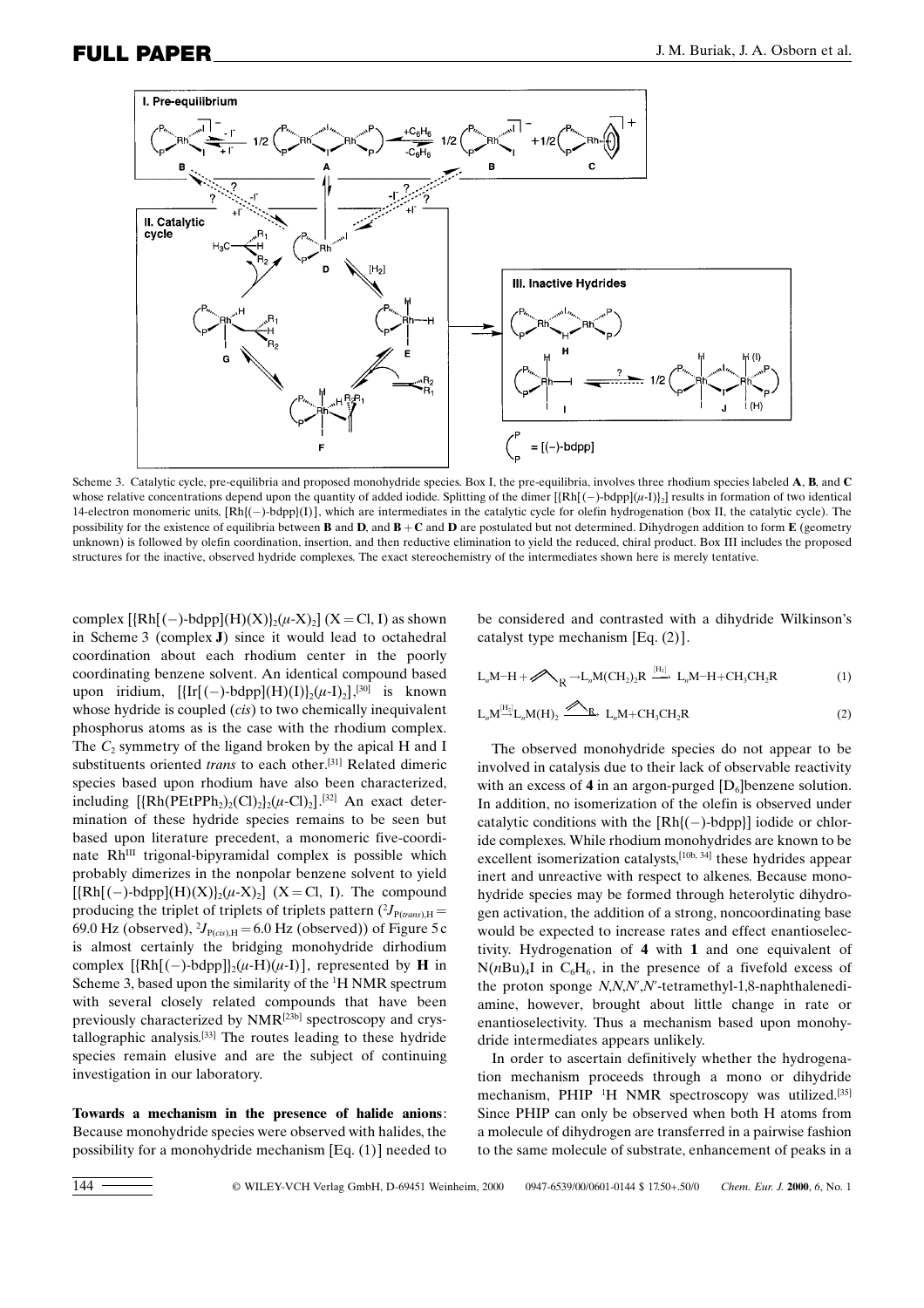

Scheme 3. Catalytic cycle, pre-equilibria and proposed monohydride species. Box I, the pre-equilibria, involves three rhodium species labeled A, B, and C whose relative concentrations depend upon the quantity of added iodide. Splitting of the dimer  $[\{Rh[(\f{-})-bdp][(\mu-1)]_2\}]$  results in formation of two identical 14-electron monomeric units,  $[Rh[(-)-bdp](I)]$ , which are intermediates in the catalytic cycle for olefin hydrogenation (box II, the catalytic cycle). The possibility for the existence of equilibria between **B** and **D**, and **B** + **C** and **D** are postulated but not determined. Dihydrogen addition to form **E** (geometry unknown) is followed by olefin coordination, insertion, and then reductive elimination to yield the reduced, chiral product. Box III includes the proposed structures for the inactive, observed hydride complexes. The exact stereochemistry of the intermediates shown here is merely tentative.

complex  $[\{Rh[(-)-bdpp](H)(X)\}_{2}(\mu-X)_{2}]$   $(X = Cl, I)$  as shown in Scheme 3 (complex J) since it would lead to octahedral coordination about each rhodium center in the poorly coordinating benzene solvent. An identical compound based upon iridium,  $[\{\text{Ir} [(-)-bdpp](H)(I)\}_2(\mu-I)_2],$ <sup>[30]</sup> is known whose hydride is coupled *(cis)* to two chemically inequivalent phosphorus atoms as is the case with the rhodium complex. The  $C_2$  symmetry of the ligand broken by the apical H and I substituents oriented trans to each other.<sup>[31]</sup> Related dimeric species based upon rhodium have also been characterized, including  $\left[\frac{\text{Rh}(\text{PEtPPh}_2)_2\text{(Cl)}_2\}(\mu\text{-Cl})_2\right]$ .<sup>[32]</sup> An exact determination of these hydride species remains to be seen but based upon literature precedent, a monomeric five-coordinate Rh<sup>III</sup> trigonal-bipyramidal complex is possible which probably dimerizes in the nonpolar benzene solvent to yield  $[\{Rh[(-)-bdpp](H)(X)\}_{2}(\mu-X)_{2}]$  (X = Cl, I). The compound producing the triplet of triplets of triplets pattern  $(^{2}J_{P(rans),H} =$ 69.0 Hz (observed),  ${}^{2}J_{P(cis),H}$  = 6.0 Hz (observed)) of Figure 5 c is almost certainly the bridging monohydride dirhodium complex  $[\{Rh[(-)-bdpp]\}_{2}(\mu-H)(\mu-I)]$ , represented by **H** in Scheme 3, based upon the similarity of the <sup>1</sup>H NMR spectrum with several closely related compounds that have been previously characterized by NMR[23b] spectroscopy and crystallographic analysis.<sup>[33]</sup> The routes leading to these hydride species remain elusive and are the subject of continuing investigation in our laboratory.

Towards a mechanism in the presence of halide anions: Because monohydride species were observed with halides, the possibility for a monohydride mechanism [Eq. (1)] needed to be considered and contrasted with a dihydride Wilkinson's catalyst type mechanism [Eq. (2)].

$$
L_nM-H+\mathscr{D}_{R} \to L_nM(CH_2)_2R \xrightarrow{[H_2]} L_nM-H+CH_3CH_2R
$$
 (1)

$$
L_nM \xrightarrow{[H_2]} L_nM(H)_2 \xrightarrow{\mathscr{D}_{R}} L_nM + CH_3CH_2R
$$
 (2)

The observed monohydride species do not appear to be involved in catalysis due to their lack of observable reactivity with an excess of 4 in an argon-purged  $[D_6]$ benzene solution. In addition, no isomerization of the olefin is observed under catalytic conditions with the  $[Rh](-)$ -bdpp}] iodide or chloride complexes. While rhodium monohydrides are known to be excellent isomerization catalysts,<sup>[10b, 34]</sup> these hydrides appear inert and unreactive with respect to alkenes. Because monohydride species may be formed through heterolytic dihydrogen activation, the addition of a strong, noncoordinating base would be expected to increase rates and effect enantioselectivity. Hydrogenation of 4 with 1 and one equivalent of  $N(nBu)$  in  $C<sub>6</sub>H<sub>6</sub>$ , in the presence of a fivefold excess of the proton sponge N,N,N',N'-tetramethyl-1,8-naphthalenediamine, however, brought about little change in rate or enantioselectivity. Thus a mechanism based upon monohydride intermediates appears unlikely.

In order to ascertain definitively whether the hydrogenation mechanism proceeds through a mono or dihydride mechanism, PHIP <sup>1</sup>H NMR spectroscopy was utilized.<sup>[35]</sup> Since PHIP can only be observed when both H atoms from a molecule of dihydrogen are transferred in a pairwise fashion to the same molecule of substrate, enhancement of peaks in a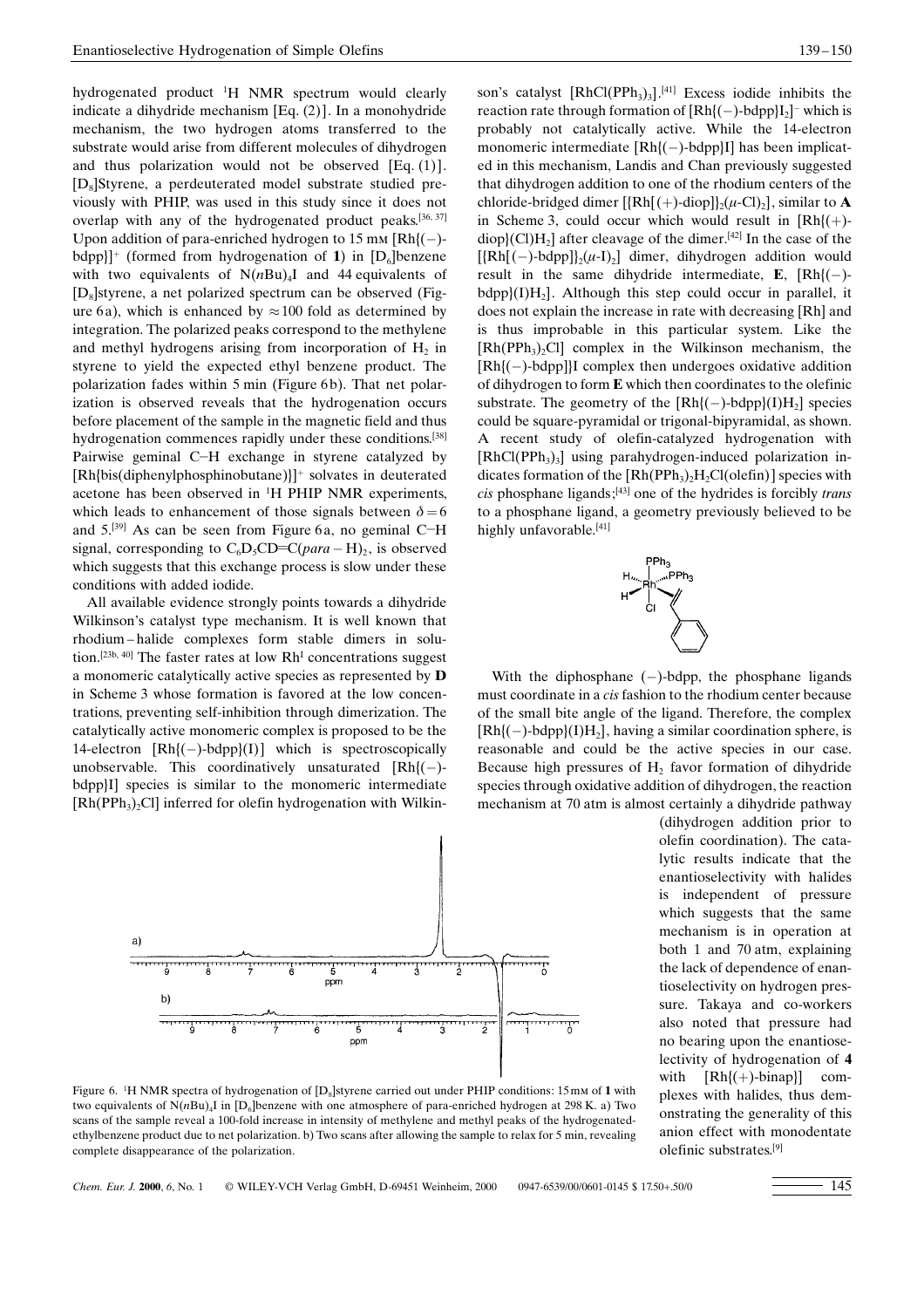hydrogenated product <sup>1</sup>H NMR spectrum would clearly indicate a dihydride mechanism [Eq. (2)]. In a monohydride mechanism, the two hydrogen atoms transferred to the substrate would arise from different molecules of dihydrogen and thus polarization would not be observed [Eq. (1)].  $[D_{8}]$ Styrene, a perdeuterated model substrate studied previously with PHIP, was used in this study since it does not overlap with any of the hydrogenated product peaks.  $[36, 37]$ Upon addition of para-enriched hydrogen to 15 mm  $\text{Rh}$ { $\text{(-)}$ bdpp}]<sup>+</sup> (formed from hydrogenation of 1) in  $[D_6]$ benzene with two equivalents of  $N(nBu)_{4}I$  and 44 equivalents of  $[D_8]$ styrene, a net polarized spectrum can be observed (Figure 6a), which is enhanced by  $\approx$  100 fold as determined by integration. The polarized peaks correspond to the methylene and methyl hydrogens arising from incorporation of  $H_2$  in styrene to yield the expected ethyl benzene product. The polarization fades within 5 min (Figure 6b). That net polarization is observed reveals that the hydrogenation occurs before placement of the sample in the magnetic field and thus hydrogenation commences rapidly under these conditions.<sup>[38]</sup> Pairwise geminal C-H exchange in styrene catalyzed by  $[Rh{bis(diphenylphosphinobutane)}]$ <sup>+</sup> solvates in deuterated acetone has been observed in <sup>1</sup> H PHIP NMR experiments, which leads to enhancement of those signals between  $\delta = 6$ and  $5.^{[39]}$  As can be seen from Figure 6a, no geminal C-H signal, corresponding to  $C_6D_5CD=C(para-H)_2$ , is observed which suggests that this exchange process is slow under these conditions with added iodide.

All available evidence strongly points towards a dihydride Wilkinson's catalyst type mechanism. It is well known that rhodium-halide complexes form stable dimers in solution.<sup>[23b, 40]</sup> The faster rates at low  $Rh<sup>I</sup>$  concentrations suggest a monomeric catalytically active species as represented by D in Scheme 3 whose formation is favored at the low concentrations, preventing self-inhibition through dimerization. The catalytically active monomeric complex is proposed to be the 14-electron  $[Rh](-)-bdpp](I)$  which is spectroscopically unobservable. This coordinatively unsaturated  $[Rh](-)$ bdpp}I] species is similar to the monomeric intermediate  $[Rh(PPh<sub>3</sub>)<sub>2</sub>Cl]$  inferred for olefin hydrogenation with Wilkin-



(dihydrogen addition prior to olefin coordination). The catalytic results indicate that the enantioselectivity with halides is independent of pressure which suggests that the same mechanism is in operation at both 1 and 70 atm, explaining the lack of dependence of enantioselectivity on hydrogen pressure. Takaya and co-workers also noted that pressure had no bearing upon the enantioselectivity of hydrogenation of 4 with  $[Rh]$ (+)-binap}] complexes with halides, thus demonstrating the generality of this

anion effect with monodentate

olefinic substrates. [9]

Figure 6. <sup>1</sup>H NMR spectra of hydrogenation of [D<sub>8</sub>]styrene carried out under PHIP conditions: 15 mm of **1** with two equivalents of  $N(nBu)$ <sub>4</sub>I in [D<sub>6</sub>]benzene with one atmosphere of para-enriched hydrogen at 298 K. a) Two scans of the sample reveal a 100-fold increase in intensity of methylene and methyl peaks of the hydrogenatedethylbenzene product due to net polarization. b) Two scans after allowing the sample to relax for 5 min, revealing complete disappearance of the polarization.

son's catalyst  $[RhCl(PPh<sub>3</sub>)<sub>3</sub>$ <sup>[41]</sup> Excess iodide inhibits the reaction rate through formation of  $[Rh](-)$ -bdpp $]I_2]$ <sup>-</sup> which is probably not catalytically active. While the 14-electron monomeric intermediate  $[Rh](-)$ -bdpp $]$ I] has been implicated in this mechanism, Landis and Chan previously suggested that dihydrogen addition to one of the rhodium centers of the chloride-bridged dimer  $[\{Rh[(+) \text{-diop}]\}_2(\mu\text{-Cl})_2]$ , similar to **A** in Scheme 3, could occur which would result in  $[Rh]$  $(+)$ diop} $(Cl)H_2$ ] after cleavage of the dimer.<sup>[42]</sup> In the case of the  $[{\rm Rh}[(-)-{\rm bdpp}]\}$ <sub>2</sub>( $\mu$ -I)<sub>2</sub>] dimer, dihydrogen addition would result in the same dihydride intermediate, E,  $[Rh](-)$  $bdpp$ [I)H<sub>2</sub>]. Although this step could occur in parallel, it does not explain the increase in rate with decreasing [Rh] and is thus improbable in this particular system. Like the  $[Rh(PPh<sub>3</sub>)<sub>2</sub>Cl]$  complex in the Wilkinson mechanism, the  $[Rh](-)$ -bdpp]]I complex then undergoes oxidative addition of dihydrogen to form E which then coordinates to the olefinic substrate. The geometry of the  $[Rh](-)-bdpp](I)H_2$ ] species could be square-pyramidal or trigonal-bipyramidal, as shown. A recent study of olefin-catalyzed hydrogenation with  $[RhCl(PPh<sub>3</sub>)<sub>3</sub>]$  using parahydrogen-induced polarization indicates formation of the  $[Rh(PPh<sub>3</sub>)<sub>2</sub>H<sub>2</sub>Cl(olefin)]$  species with cis phosphane ligands;<sup>[43]</sup> one of the hydrides is forcibly *trans* to a phosphane ligand, a geometry previously believed to be highly unfavorable. [41]



With the diphosphane  $(-)$ -bdpp, the phosphane ligands must coordinate in a cis fashion to the rhodium center because of the small bite angle of the ligand. Therefore, the complex  $[Rh](-)$ -bdpp $(1)H_2]$ , having a similar coordination sphere, is reasonable and could be the active species in our case. Because high pressures of  $H<sub>2</sub>$  favor formation of dihydride species through oxidative addition of dihydrogen, the reaction mechanism at 70 atm is almost certainly a dihydride pathway

Chem. Eur. J. 2000, 6, No. 1 © WILEY-VCH Verlag GmbH, D-69451 Weinheim, 2000 0947-6539/00/0601-0145 \$ 17.50+.50/0 145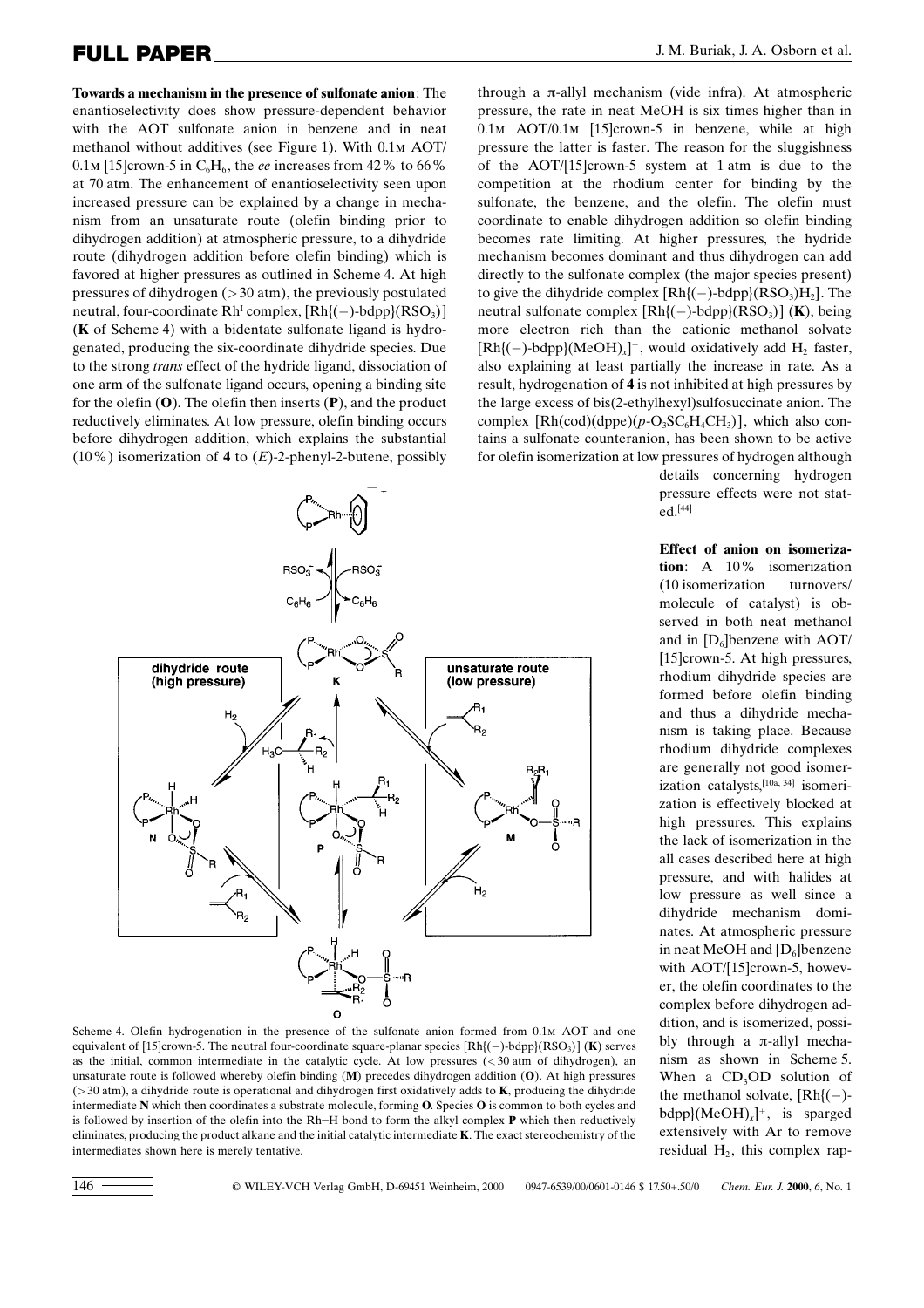Towards a mechanism in the presence of sulfonate anion: The enantioselectivity does show pressure-dependent behavior with the AOT sulfonate anion in benzene and in neat methanol without additives (see Figure 1). With 0.1m AOT/ 0.1m [15]crown-5 in  $C_6H_6$ , the ee increases from 42% to 66% at 70 atm. The enhancement of enantioselectivity seen upon increased pressure can be explained by a change in mechanism from an unsaturate route (olefin binding prior to dihydrogen addition) at atmospheric pressure, to a dihydride route (dihydrogen addition before olefin binding) which is favored at higher pressures as outlined in Scheme 4. At high pressures of dihydrogen  $(>30 \text{ atm})$ , the previously postulated neutral, four-coordinate  $Rh^{I}$  complex,  $[Rh](-)$ -bdpp $](RSO<sub>3</sub>)$ ] (K of Scheme 4) with a bidentate sulfonate ligand is hydrogenated, producing the six-coordinate dihydride species. Due to the strong trans effect of the hydride ligand, dissociation of one arm of the sulfonate ligand occurs, opening a binding site for the olefin  $(0)$ . The olefin then inserts  $(P)$ , and the product reductively eliminates. At low pressure, olefin binding occurs before dihydrogen addition, which explains the substantial (10%) isomerization of 4 to  $(E)$ -2-phenyl-2-butene, possibly



Scheme 4. Olefin hydrogenation in the presence of the sulfonate anion formed from 0.1m AOT and one equivalent of [15]crown-5. The neutral four-coordinate square-planar species  $[Rh](-)$ -bdpp $(RSO<sub>3</sub>)$ ] (K) serves as the initial, common intermediate in the catalytic cycle. At low pressures (<30 atm of dihydrogen), an unsaturate route is followed whereby olefin binding (M) precedes dihydrogen addition (O). At high pressures ( $>$ 30 atm), a dihydride route is operational and dihydrogen first oxidatively adds to **K**, producing the dihydride intermediate N which then coordinates a substrate molecule, forming O. Species O is common to both cycles and is followed by insertion of the olefin into the Rh–H bond to form the alkyl complex  $P$  which then reductively eliminates, producing the product alkane and the initial catalytic intermediate K. The exact stereochemistry of the intermediates shown here is merely tentative.

through a  $\pi$ -allyl mechanism (vide infra). At atmospheric pressure, the rate in neat MeOH is six times higher than in 0.1m AOT/0.1m [15]crown-5 in benzene, while at high pressure the latter is faster. The reason for the sluggishness of the AOT/[15]crown-5 system at 1 atm is due to the competition at the rhodium center for binding by the sulfonate, the benzene, and the olefin. The olefin must coordinate to enable dihydrogen addition so olefin binding becomes rate limiting. At higher pressures, the hydride mechanism becomes dominant and thus dihydrogen can add directly to the sulfonate complex (the major species present) to give the dihydride complex  $[Rh](-)-bdpp](RSO<sub>3</sub>)H<sub>2</sub>$ . The neutral sulfonate complex  $[Rh](-)-bdpp] (RSO<sub>3</sub>)]$  (**K**), being more electron rich than the cationic methanol solvate  $[Rh](-)$ -bdpp} $(MeOH)_x$ <sup>+</sup>, would oxidatively add H<sub>2</sub> faster, also explaining at least partially the increase in rate. As a result, hydrogenation of 4 is not inhibited at high pressures by the large excess of bis(2-ethylhexyl)sulfosuccinate anion. The complex  $[Rh(cod)(dppe)(p-O_3SC_6H_4CH_3)]$ , which also contains a sulfonate counteranion, has been shown to be active for olefin isomerization at low pressures of hydrogen although

> details concerning hydrogen pressure effects were not stated.[44]

Effect of anion on isomerization: A 10% isomerization (10 isomerization turnovers/ molecule of catalyst) is observed in both neat methanol and in  $[D_6]$ benzene with AOT/ [15]crown-5. At high pressures, rhodium dihydride species are formed before olefin binding and thus a dihydride mechanism is taking place. Because rhodium dihydride complexes are generally not good isomerization catalysts,<sup>[10a, 34]</sup> isomerization is effectively blocked at high pressures. This explains the lack of isomerization in the all cases described here at high pressure, and with halides at low pressure as well since a dihydride mechanism dominates. At atmospheric pressure in neat MeOH and  $[D_6]$ benzene with AOT/[15]crown-5, however, the olefin coordinates to the complex before dihydrogen addition, and is isomerized, possibly through a  $\pi$ -allyl mechanism as shown in Scheme 5. When a  $CD<sub>3</sub>OD$  solution of the methanol solvate,  $[Rh](-)$  $bdpp{(MeOH)}_x$ <sup>+</sup>, is sparged extensively with Ar to remove residual  $H_2$ , this complex rap-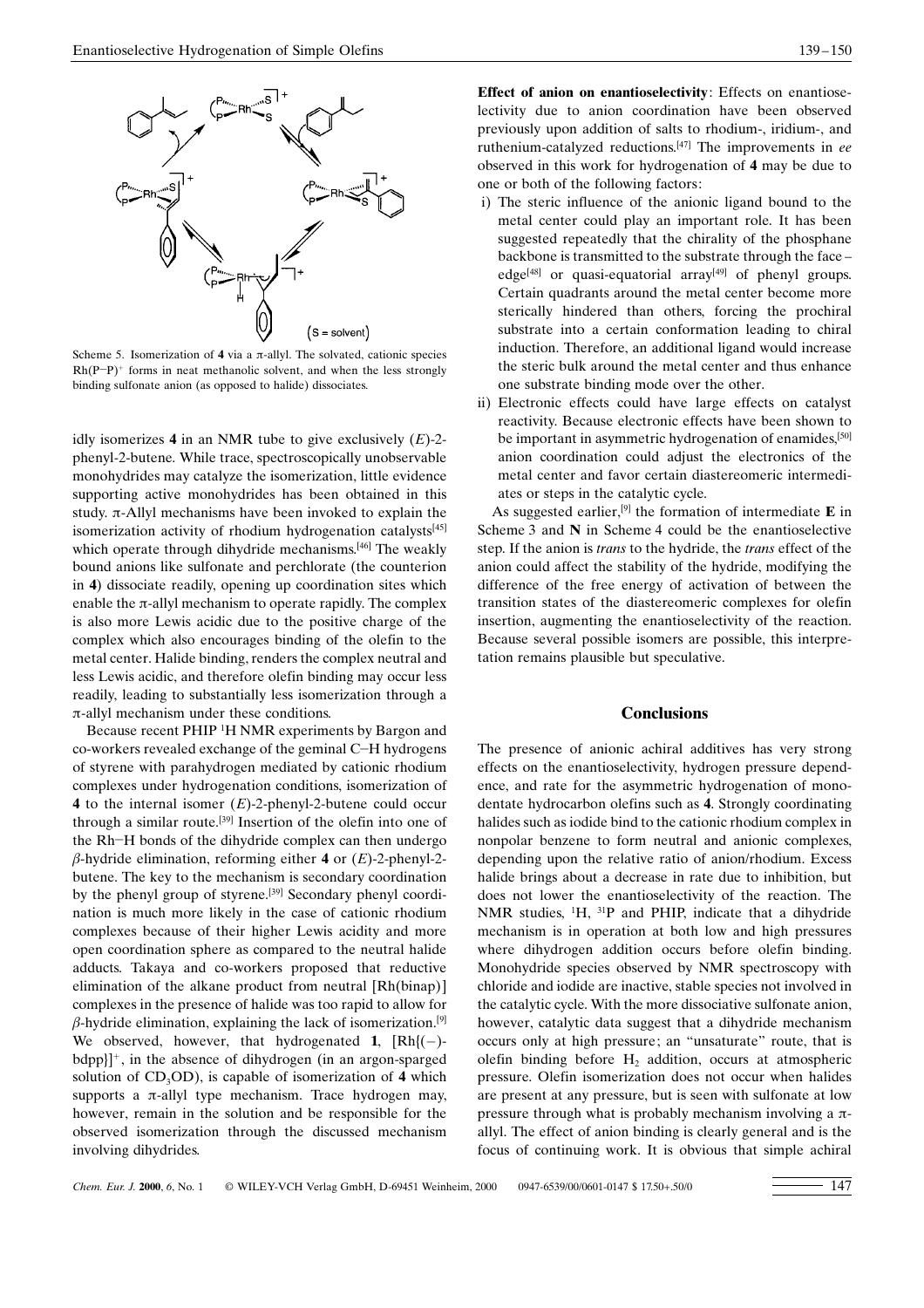

Scheme 5. Isomerization of 4 via a  $\pi$ -allyl. The solvated, cationic species  $Rh(P-P)^+$  forms in neat methanolic solvent, and when the less strongly binding sulfonate anion (as opposed to halide) dissociates.

idly isomerizes 4 in an NMR tube to give exclusively  $(E)$ -2phenyl-2-butene. While trace, spectroscopically unobservable monohydrides may catalyze the isomerization, little evidence supporting active monohydrides has been obtained in this study.  $\pi$ -Allyl mechanisms have been invoked to explain the isomerization activity of rhodium hydrogenation catalysts<sup>[45]</sup> which operate through dihydride mechanisms.<sup>[46]</sup> The weakly bound anions like sulfonate and perchlorate (the counterion in 4) dissociate readily, opening up coordination sites which enable the  $\pi$ -allyl mechanism to operate rapidly. The complex is also more Lewis acidic due to the positive charge of the complex which also encourages binding of the olefin to the metal center. Halide binding, renders the complex neutral and less Lewis acidic, and therefore olefin binding may occur less readily, leading to substantially less isomerization through a  $\pi$ -allyl mechanism under these conditions.

Because recent PHIP <sup>1</sup>H NMR experiments by Bargon and  $co$ -workers revealed exchange of the geminal  $C$ –H hydrogens of styrene with parahydrogen mediated by cationic rhodium complexes under hydrogenation conditions, isomerization of 4 to the internal isomer  $(E)$ -2-phenyl-2-butene could occur through a similar route. [39] Insertion of the olefin into one of the Rh-H bonds of the dihydride complex can then undergo  $\beta$ -hydride elimination, reforming either 4 or (E)-2-phenyl-2butene. The key to the mechanism is secondary coordination by the phenyl group of styrene.<sup>[39]</sup> Secondary phenyl coordination is much more likely in the case of cationic rhodium complexes because of their higher Lewis acidity and more open coordination sphere as compared to the neutral halide adducts. Takaya and co-workers proposed that reductive elimination of the alkane product from neutral [Rh(binap)] complexes in the presence of halide was too rapid to allow for  $\beta$ -hydride elimination, explaining the lack of isomerization.<sup>[9]</sup> We observed, however, that hydrogenated 1,  $[Rh](-)$  $bdpp$ }]<sup>+</sup>, in the absence of dihydrogen (in an argon-sparged solution of  $CD_3OD$ ), is capable of isomerization of 4 which supports a  $\pi$ -allyl type mechanism. Trace hydrogen may, however, remain in the solution and be responsible for the observed isomerization through the discussed mechanism involving dihydrides.

Effect of anion on enantioselectivity: Effects on enantioselectivity due to anion coordination have been observed previously upon addition of salts to rhodium-, iridium-, and ruthenium-catalyzed reductions.<sup>[47]</sup> The improvements in ee observed in this work for hydrogenation of 4 may be due to one or both of the following factors:

- i) The steric influence of the anionic ligand bound to the metal center could play an important role. It has been suggested repeatedly that the chirality of the phosphane backbone is transmitted to the substrate through the face edge<sup>[48]</sup> or quasi-equatorial array<sup>[49]</sup> of phenyl groups. Certain quadrants around the metal center become more sterically hindered than others, forcing the prochiral substrate into a certain conformation leading to chiral induction. Therefore, an additional ligand would increase the steric bulk around the metal center and thus enhance one substrate binding mode over the other.
- ii) Electronic effects could have large effects on catalyst reactivity. Because electronic effects have been shown to be important in asymmetric hydrogenation of enamides,<sup>[50]</sup> anion coordination could adjust the electronics of the metal center and favor certain diastereomeric intermediates or steps in the catalytic cycle.

As suggested earlier,<sup>[9]</sup> the formation of intermediate  $\bf{E}$  in Scheme 3 and N in Scheme 4 could be the enantioselective step. If the anion is trans to the hydride, the trans effect of the anion could affect the stability of the hydride, modifying the difference of the free energy of activation of between the transition states of the diastereomeric complexes for olefin insertion, augmenting the enantioselectivity of the reaction. Because several possible isomers are possible, this interpretation remains plausible but speculative.

#### **Conclusions**

The presence of anionic achiral additives has very strong effects on the enantioselectivity, hydrogen pressure dependence, and rate for the asymmetric hydrogenation of monodentate hydrocarbon olefins such as 4. Strongly coordinating halides such as iodide bind to the cationic rhodium complex in nonpolar benzene to form neutral and anionic complexes, depending upon the relative ratio of anion/rhodium. Excess halide brings about a decrease in rate due to inhibition, but does not lower the enantioselectivity of the reaction. The NMR studies,  ${}^{1}H$ ,  ${}^{31}P$  and PHIP, indicate that a dihydride mechanism is in operation at both low and high pressures where dihydrogen addition occurs before olefin binding. Monohydride species observed by NMR spectroscopy with chloride and iodide are inactive, stable species not involved in the catalytic cycle. With the more dissociative sulfonate anion, however, catalytic data suggest that a dihydride mechanism occurs only at high pressure; an "unsaturate" route, that is olefin binding before  $H<sub>2</sub>$  addition, occurs at atmospheric pressure. Olefin isomerization does not occur when halides are present at any pressure, but is seen with sulfonate at low pressure through what is probably mechanism involving a  $\pi$ allyl. The effect of anion binding is clearly general and is the focus of continuing work. It is obvious that simple achiral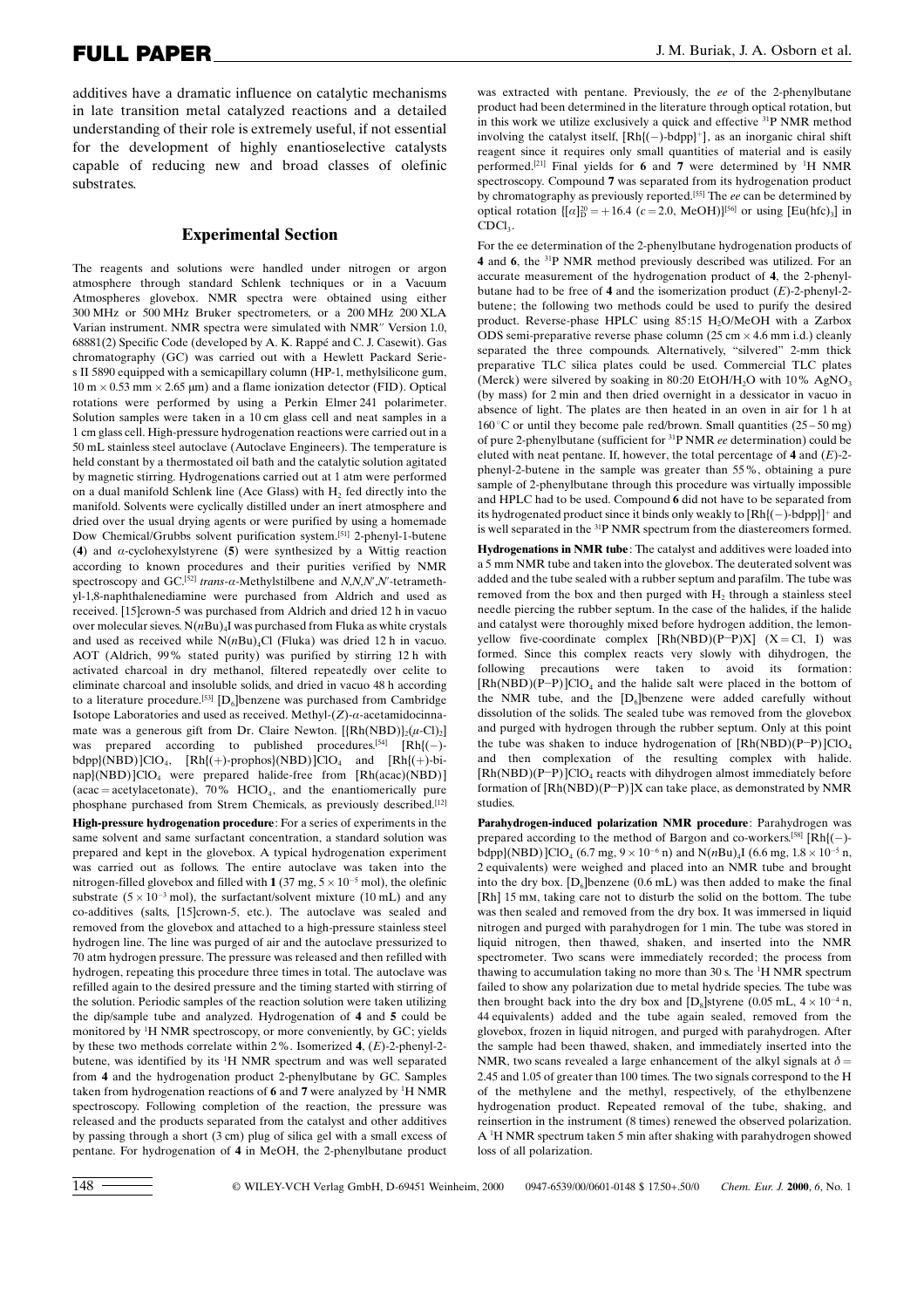additives have a dramatic influence on catalytic mechanisms in late transition metal catalyzed reactions and a detailed understanding of their role is extremely useful, if not essential for the development of highly enantioselective catalysts capable of reducing new and broad classes of olefinic substrates.

#### Experimental Section

The reagents and solutions were handled under nitrogen or argon atmosphere through standard Schlenk techniques or in a Vacuum Atmospheres glovebox. NMR spectra were obtained using either 300 MHz or 500 MHz Bruker spectrometers, or a 200 MHz 200 XLA Varian instrument. NMR spectra were simulated with NMR'' Version 1.0, 68881(2) Specific Code (developed by A. K. Rappé and C. J. Casewit). Gas chromatography (GC) was carried out with a Hewlett Packard Series II 5890 equipped with a semicapillary column (HP-1, methylsilicone gum,  $10 \text{ m} \times 0.53 \text{ mm} \times 2.65 \text{ }\mu\text{m}$ ) and a flame ionization detector (FID). Optical rotations were performed by using a Perkin Elmer 241 polarimeter. Solution samples were taken in a 10 cm glass cell and neat samples in a 1 cm glass cell. High-pressure hydrogenation reactions were carried out in a 50 mL stainless steel autoclave (Autoclave Engineers). The temperature is held constant by a thermostated oil bath and the catalytic solution agitated by magnetic stirring. Hydrogenations carried out at 1 atm were performed on a dual manifold Schlenk line (Ace Glass) with  $H<sub>2</sub>$  fed directly into the manifold. Solvents were cyclically distilled under an inert atmosphere and dried over the usual drying agents or were purified by using a homemade Dow Chemical/Grubbs solvent purification system. [51] 2-phenyl-1-butene (4) and  $\alpha$ -cyclohexylstyrene (5) were synthesized by a Wittig reaction according to known procedures and their purities verified by NMR spectroscopy and GC.<sup>[52]</sup> trans- $\alpha$ -Methylstilbene and N,N,N',N'-tetramethyl-1,8-naphthalenediamine were purchased from Aldrich and used as received. [15]crown-5 was purchased from Aldrich and dried 12 h in vacuo over molecular sieves.  $N(nBu)$ <sub>4</sub>I was purchased from Fluka as white crystals and used as received while  $N(nBu)_{4}Cl$  (Fluka) was dried 12 h in vacuo. AOT (Aldrich, 99% stated purity) was purified by stirring 12 h with activated charcoal in dry methanol, filtered repeatedly over celite to eliminate charcoal and insoluble solids, and dried in vacuo 48 h according to a literature procedure.<sup>[53]</sup> [D<sub>6</sub>]benzene was purchased from Cambridge Isotope Laboratories and used as received. Methyl- $(Z)$ - $\alpha$ -acetamidocinnamate was a generous gift from Dr. Claire Newton.  $[\{Rh(NBD)\}_2(\mu\text{-Cl})_2]$ was prepared according to published procedures.<sup>[54]</sup>  $[Rh](-)$  $bdpp$ }(NBD)]ClO<sub>4</sub>, [Rh{(+)-prophos}(NBD)]ClO<sub>4</sub> and [Rh{(+)-binap}(NBD)]ClO<sub>4</sub> were prepared halide-free from [Rh(acac)(NBD)] (acac = acetylacetonate),  $70\%$  HClO<sub>4</sub>, and the enantiomerically pure phosphane purchased from Strem Chemicals, as previously described.<sup>[12]</sup>

High-pressure hydrogenation procedure: For a series of experiments in the same solvent and same surfactant concentration, a standard solution was prepared and kept in the glovebox. A typical hydrogenation experiment was carried out as follows. The entire autoclave was taken into the nitrogen-filled glovebox and filled with  $1(37 \text{ mg}, 5 \times 10^{-5} \text{ mol})$ , the olefinic substrate  $(5 \times 10^{-3} \text{ mol})$ , the surfactant/solvent mixture  $(10 \text{ mL})$  and any co-additives (salts, [15]crown-5, etc.). The autoclave was sealed and removed from the glovebox and attached to a high-pressure stainless steel hydrogen line. The line was purged of air and the autoclave pressurized to 70 atm hydrogen pressure. The pressure was released and then refilled with hydrogen, repeating this procedure three times in total. The autoclave was refilled again to the desired pressure and the timing started with stirring of the solution. Periodic samples of the reaction solution were taken utilizing the dip/sample tube and analyzed. Hydrogenation of 4 and 5 could be monitored by <sup>1</sup> H NMR spectroscopy, or more conveniently, by GC; yields by these two methods correlate within 2%. Isomerized 4,  $(E)$ -2-phenyl-2butene, was identified by its <sup>1</sup> H NMR spectrum and was well separated from 4 and the hydrogenation product 2-phenylbutane by GC. Samples taken from hydrogenation reactions of 6 and 7 were analyzed by <sup>1</sup>H NMR spectroscopy. Following completion of the reaction, the pressure was released and the products separated from the catalyst and other additives by passing through a short (3 cm) plug of silica gel with a small excess of pentane. For hydrogenation of 4 in MeOH, the 2-phenylbutane product was extracted with pentane. Previously, the ee of the 2-phenylbutane product had been determined in the literature through optical rotation, but in this work we utilize exclusively a quick and effective 31P NMR method involving the catalyst itself,  $[Rh](-)$ -bdpp}<sup>+</sup>], as an inorganic chiral shift reagent since it requires only small quantities of material and is easily performed.<sup>[21]</sup> Final yields for 6 and 7 were determined by <sup>1</sup>H NMR spectroscopy. Compound 7 was separated from its hydrogenation product by chromatography as previously reported.<sup>[55]</sup> The ee can be determined by optical rotation  $\{[\alpha]_D^{20} = +16.4 \ (c = 2.0, \text{MeOH})\}^{[56]}$  or using  $[\text{Eu(hfc)}_3]$  in CDCl<sub>3</sub>.

For the ee determination of the 2-phenylbutane hydrogenation products of 4 and 6, the 31P NMR method previously described was utilized. For an accurate measurement of the hydrogenation product of 4, the 2-phenylbutane had to be free of 4 and the isomerization product  $(E)$ -2-phenyl-2butene; the following two methods could be used to purify the desired product. Reverse-phase HPLC using 85:15 H<sub>2</sub>O/MeOH with a Zarbox ODS semi-preparative reverse phase column  $(25 \text{ cm} \times 4.6 \text{ mm} \text{ i.d.})$  cleanly separated the three compounds. Alternatively, "silvered" 2-mm thick preparative TLC silica plates could be used. Commercial TLC plates (Merck) were silvered by soaking in 80:20 EtOH/H<sub>2</sub>O with 10% AgNO<sub>3</sub> (by mass) for 2 min and then dried overnight in a dessicator in vacuo in absence of light. The plates are then heated in an oven in air for 1 h at  $160^{\circ}$ C or until they become pale red/brown. Small quantities (25 – 50 mg) of pure 2-phenylbutane (sufficient for 31P NMR ee determination) could be eluted with neat pentane. If, however, the total percentage of 4 and  $(E)$ -2phenyl-2-butene in the sample was greater than 55%, obtaining a pure sample of 2-phenylbutane through this procedure was virtually impossible and HPLC had to be used. Compound 6 did not have to be separated from its hydrogenated product since it binds only weakly to  $[Rh](-)$ -bdpp}]<sup>+</sup> and is well separated in the 31P NMR spectrum from the diastereomers formed.

Hydrogenations in NMR tube: The catalyst and additives were loaded into a 5 mm NMR tube and taken into the glovebox. The deuterated solvent was added and the tube sealed with a rubber septum and parafilm. The tube was removed from the box and then purged with  $H_2$  through a stainless steel needle piercing the rubber septum. In the case of the halides, if the halide and catalyst were thoroughly mixed before hydrogen addition, the lemonyellow five-coordinate complex  $[Rh(NBD)(P-P)X]$   $(X = Cl, I)$  was formed. Since this complex reacts very slowly with dihydrogen, the following precautions were taken to avoid its formation:  $[Rh(NBD)(P-P)]ClO<sub>4</sub>$  and the halide salt were placed in the bottom of the NMR tube, and the  $[D_6]$ benzene were added carefully without dissolution of the solids. The sealed tube was removed from the glovebox and purged with hydrogen through the rubber septum. Only at this point the tube was shaken to induce hydrogenation of  $[Rh(NBD)(P-P)]ClO<sub>4</sub>$ and then complexation of the resulting complex with halide.  $[Rh(NBD)(P-P)]ClO<sub>4</sub>$  reacts with dihydrogen almost immediately before formation of  $[Rh(NBD)(P-P)]X$  can take place, as demonstrated by NMR studies.

Parahydrogen-induced polarization NMR procedure: Parahydrogen was prepared according to the method of Bargon and co-workers.<sup>[58]</sup>  $[Rh](-)$ bdpp}(NBD)]ClO<sub>4</sub> (6.7 mg,  $9 \times 10^{-6}$  n) and N(*nBu*)<sub>4</sub>I (6.6 mg,  $1.8 \times 10^{-5}$  n, 2 equivalents) were weighed and placed into an NMR tube and brought into the dry box.  $[D_6]$ benzene (0.6 mL) was then added to make the final [Rh] 15 mm, taking care not to disturb the solid on the bottom. The tube was then sealed and removed from the dry box. It was immersed in liquid nitrogen and purged with parahydrogen for 1 min. The tube was stored in liquid nitrogen, then thawed, shaken, and inserted into the NMR spectrometer. Two scans were immediately recorded; the process from thawing to accumulation taking no more than 30 s. The <sup>1</sup>H NMR spectrum failed to show any polarization due to metal hydride species. The tube was then brought back into the dry box and  $[D_8]$ styrene (0.05 mL,  $4 \times 10^{-4}$  n, 44 equivalents) added and the tube again sealed, removed from the glovebox, frozen in liquid nitrogen, and purged with parahydrogen. After the sample had been thawed, shaken, and immediately inserted into the NMR, two scans revealed a large enhancement of the alkyl signals at  $\delta$  = 2.45 and 1.05 of greater than 100 times. The two signals correspond to the H of the methylene and the methyl, respectively, of the ethylbenzene hydrogenation product. Repeated removal of the tube, shaking, and reinsertion in the instrument (8 times) renewed the observed polarization. A <sup>1</sup> H NMR spectrum taken 5 min after shaking with parahydrogen showed loss of all polarization.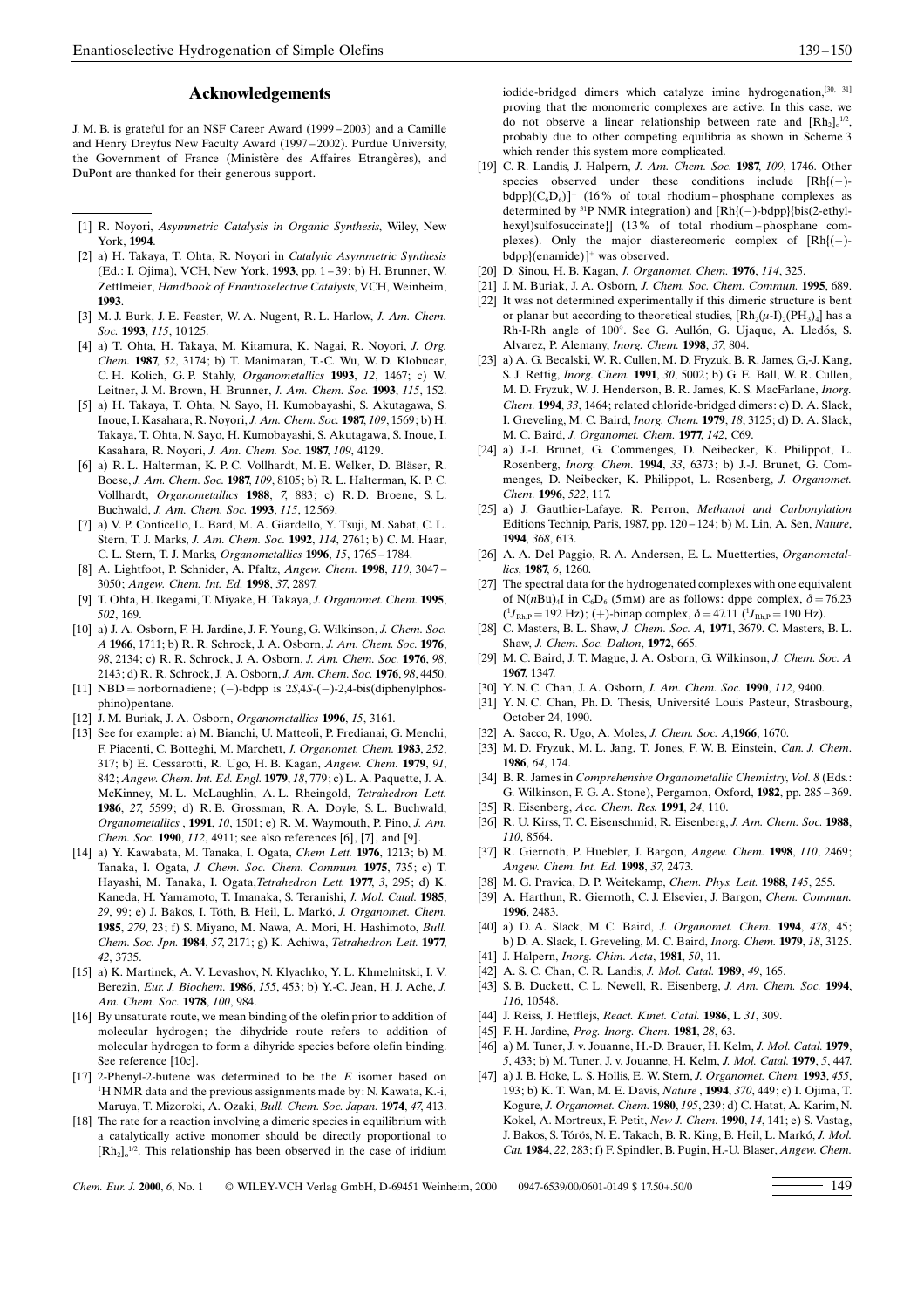#### Acknowledgements

J. M. B. is grateful for an NSF Career Award (1999 - 2003) and a Camille and Henry Dreyfus New Faculty Award (1997-2002). Purdue University, the Government of France (Ministère des Affaires Etrangères), and DuPont are thanked for their generous support.

- [1] R. Noyori, Asymmetric Catalysis in Organic Synthesis, Wiley, New York, 1994.
- [2] a) H. Takaya, T. Ohta, R. Noyori in Catalytic Asymmetric Synthesis (Ed.: I. Ojima), VCH, New York, 1993, pp. 1 - 39; b) H. Brunner, W. Zettlmeier, Handbook of Enantioselective Catalysts, VCH, Weinheim, 1993.
- [3] M. J. Burk, J. E. Feaster, W. A. Nugent, R. L. Harlow, J. Am. Chem. Soc. 1993, 115, 10 125.
- [4] a) T. Ohta, H. Takaya, M. Kitamura, K. Nagai, R. Noyori, J. Org. Chem. 1987, 52, 3174; b) T. Manimaran, T.-C. Wu, W. D. Klobucar, C. H. Kolich, G. P. Stahly, Organometallics 1993, 12, 1467; c) W. Leitner, J. M. Brown, H. Brunner, J. Am. Chem. Soc. 1993, 115, 152.
- [5] a) H. Takaya, T. Ohta, N. Sayo, H. Kumobayashi, S. Akutagawa, S. Inoue, I. Kasahara, R. Noyori, J. Am. Chem. Soc. 1987, 109, 1569; b) H. Takaya, T. Ohta, N. Sayo, H. Kumobayashi, S. Akutagawa, S. Inoue, I. Kasahara, R. Noyori, J. Am. Chem. Soc. 1987, 109, 4129.
- [6] a) R. L. Halterman, K. P. C. Vollhardt, M. E. Welker, D. Bläser, R. Boese, J. Am. Chem. Soc. 1987, 109, 8105; b) R. L. Halterman, K. P. C. Vollhardt, Organometallics 1988, 7, 883; c) R. D. Broene, S. L. Buchwald, J. Am. Chem. Soc. 1993, 115, 12569.
- [7] a) V. P. Conticello, L. Bard, M. A. Giardello, Y. Tsuji, M. Sabat, C. L. Stern, T. J. Marks, J. Am. Chem. Soc. 1992, 114, 2761; b) C. M. Haar, C. L. Stern, T. J. Marks, Organometallics 1996, 15, 1765 - 1784.
- [8] A. Lightfoot, P. Schnider, A. Pfaltz, Angew. Chem. 1998, 110, 3047 -3050; Angew. Chem. Int. Ed. 1998, 37, 2897.
- T. Ohta, H. Ikegami, T. Miyake, H. Takaya, J. Organomet. Chem. 1995, 502, 169.
- [10] a) J. A. Osborn, F. H. Jardine, J. F. Young, G. Wilkinson, J. Chem. Soc. A 1966, 1711; b) R. R. Schrock, J. A. Osborn, J. Am. Chem. Soc. 1976, 98, 2134; c) R. R. Schrock, J. A. Osborn, J. Am. Chem. Soc. 1976, 98, 2143; d) R. R. Schrock, J. A. Osborn, J. Am. Chem. Soc. 1976, 98, 4450.
- [11] NBD = norbornadiene; (-)-bdpp is  $2S,4S-(-)$ -2,4-bis(diphenylphosphino)pentane.
- [12] J. M. Buriak, J. A. Osborn, Organometallics 1996, 15, 3161.
- [13] See for example: a) M. Bianchi, U. Matteoli, P. Fredianai, G. Menchi, F. Piacenti, C. Botteghi, M. Marchett, J. Organomet. Chem. 1983, 252, 317; b) E. Cessarotti, R. Ugo, H. B. Kagan, Angew. Chem. 1979, 91, 842; Angew. Chem. Int. Ed. Engl. 1979, 18, 779; c) L. A. Paquette, J. A. McKinney, M. L. McLaughlin, A. L. Rheingold, Tetrahedron Lett. 1986, 27, 5599; d) R. B. Grossman, R. A. Doyle, S. L. Buchwald, Organometallics , 1991, 10, 1501; e) R. M. Waymouth, P. Pino, J. Am. Chem. Soc. 1990, 112, 4911; see also references [6], [7], and [9].
- [14] a) Y. Kawabata, M. Tanaka, I. Ogata, Chem Lett. 1976, 1213; b) M. Tanaka, I. Ogata, J. Chem. Soc. Chem. Commun. 1975, 735; c) T. Hayashi, M. Tanaka, I. Ogata,Tetrahedron Lett. 1977, 3, 295; d) K. Kaneda, H. Yamamoto, T. Imanaka, S. Teranishi, J. Mol. Catal. 1985, 29, 99; e) J. Bakos, J. Tóth, B. Heil, L. Markó, *J. Organomet. Chem.* 1985, 279, 23; f) S. Miyano, M. Nawa, A. Mori, H. Hashimoto, Bull. Chem. Soc. Jpn. 1984, 57, 2171; g) K. Achiwa, Tetrahedron Lett. 1977, 42, 3735.
- [15] a) K. Martinek, A. V. Levashov, N. Klyachko, Y. L. Khmelnitski, I. V. Berezin, Eur. J. Biochem. 1986, 155, 453; b) Y.-C. Jean, H. J. Ache, J. Am. Chem. Soc. 1978, 100, 984.
- [16] By unsaturate route, we mean binding of the olefin prior to addition of molecular hydrogen; the dihydride route refers to addition of molecular hydrogen to form a dihyride species before olefin binding. See reference [10c].
- [17] 2-Phenyl-2-butene was determined to be the E isomer based on <sup>1</sup>H NMR data and the previous assignments made by: N. Kawata, K.-i, Maruya, T. Mizoroki, A. Ozaki, Bull. Chem. Soc. Japan. 1974, 47, 413.
- [18] The rate for a reaction involving a dimeric species in equilibrium with a catalytically active monomer should be directly proportional to  $[Rh_2]_o^{1/2}$ . This relationship has been observed in the case of iridium

iodide-bridged dimers which catalyze imine hydrogenation,<sup>[30, 31]</sup> proving that the monomeric complexes are active. In this case, we do not observe a linear relationship between rate and  $[Rh_2]_0^{1/2}$ , probably due to other competing equilibria as shown in Scheme 3 which render this system more complicated.

- [19] C. R. Landis, J. Halpern, *J. Am. Chem. Soc.* **1987**, 109, 1746. Other species observed under these conditions include  $[Rh](-)$  $bdpp$  $(C_6D_6)$ <sup>+</sup> (16% of total rhodium - phosphane complexes as determined by  ${}^{31}P$  NMR integration) and  $[Rh](-)$ -bdpp}{bis(2-ethylhexyl)sulfosuccinate}] (13% of total rhodium-phosphane complexes). Only the major diastereomeric complex of  $[Rh](-)$ bdpp}(enamide)] was observed.
- [20] D. Sinou, H. B. Kagan, J. Organomet. Chem. 1976, 114, 325.
- [21] J. M. Buriak, J. A. Osborn, J. Chem. Soc. Chem. Commun. 1995, 689. [22] It was not determined experimentally if this dimeric structure is bent or planar but according to theoretical studies,  $\text{[Rh}_{2}(\mu-I)_{2}(\text{PH}_{3})_{4}\text{]$  has a Rh-I-Rh angle of 100°. See G. Aullón, G. Ujaque, A. Lledós, S. Alvarez, P. Alemany, Inorg. Chem. 1998, 37, 804.
- [23] a) A. G. Becalski, W. R. Cullen, M. D. Fryzuk, B. R. James, G,-J. Kang, S. J. Rettig, Inorg. Chem. 1991, 30, 5002; b) G. E. Ball, W. R. Cullen, M. D. Fryzuk, W. J. Henderson, B. R. James, K. S. MacFarlane, Inorg. Chem. 1994, 33, 1464; related chloride-bridged dimers: c) D. A. Slack, I. Greveling, M. C. Baird, Inorg. Chem. 1979, 18, 3125; d) D. A. Slack, M. C. Baird, J. Organomet. Chem. 1977, 142, C69.
- [24] a) J.-J. Brunet, G. Commenges, D. Neibecker, K. Philippot, L. Rosenberg, Inorg. Chem. 1994, 33, 6373; b) J.-J. Brunet, G. Commenges, D. Neibecker, K. Philippot, L. Rosenberg, J. Organomet. Chem. 1996, 522, 117.
- [25] a) J. Gauthier-Lafaye, R. Perron, Methanol and Carbonylation Editions Technip, Paris, 1987, pp. 120 - 124; b) M. Lin, A. Sen, Nature, 1994, 368, 613.
- [26] A. A. Del Paggio, R. A. Andersen, E. L. Muetterties, Organometallics, 1987, 6, 1260.
- [27] The spectral data for the hydrogenated complexes with one equivalent of N(nBu)<sub>4</sub>I in C<sub>6</sub>D<sub>6</sub> (5mm) are as follows: dppe complex,  $\delta = 76.23$  $(^{1}J_{\text{Rh,P}} = 192 \text{ Hz})$ ; (+)-binap complex,  $\delta = 47.11 \ (^{1}J_{\text{Rh,P}} = 190 \text{ Hz})$ .
- [28] C. Masters, B. L. Shaw, J. Chem. Soc. A, 1971, 3679. C. Masters, B. L. Shaw, J. Chem. Soc. Dalton, 1972, 665.
- [29] M. C. Baird, J. T. Mague, J. A. Osborn, G. Wilkinson, J. Chem. Soc. A 1967, 1347.
- [30] Y. N. C. Chan, J. A. Osborn, J. Am. Chem. Soc. 1990, 112, 9400.
- [31] Y. N. C. Chan, Ph. D. Thesis, Université Louis Pasteur, Strasbourg, October 24, 1990.
- [32] A. Sacco, R. Ugo, A. Moles, J. Chem. Soc. A,1966, 1670.
- [33] M. D. Fryzuk, M. L. Jang, T. Jones, F. W. B. Einstein, Can. J. Chem. 1986, 64, 174.
- [34] B. R. James in Comprehensive Organometallic Chemistry, Vol. 8 (Eds.: G. Wilkinson, F. G. A. Stone), Pergamon, Oxford, 1982, pp. 285 - 369.
- [35] R. Eisenberg, Acc. Chem. Res. 1991, 24, 110.
- [36] R. U. Kirss, T. C. Eisenschmid, R. Eisenberg, J. Am. Chem. Soc. 1988, 110, 8564.
- [37] R. Giernoth, P. Huebler, J. Bargon, Angew. Chem. 1998, 110, 2469; Angew. Chem. Int. Ed. 1998, 37, 2473.
- [38] M. G. Pravica, D. P. Weitekamp, Chem. Phys. Lett. 1988, 145, 255.
- [39] A. Harthun, R. Giernoth, C. J. Elsevier, J. Bargon, Chem. Commun. 1996, 2483.
- [40] a) D. A. Slack, M. C. Baird, J. Organomet. Chem. 1994, 478, 45; b) D. A. Slack, I. Greveling, M. C. Baird, Inorg. Chem. 1979, 18, 3125.
- [41] J. Halpern, *Inorg. Chim. Acta*, **1981**, 50, 11.
- [42] A. S. C. Chan, C. R. Landis, *J. Mol. Catal.* **1989**, 49, 165.
- [43] S. B. Duckett, C. L. Newell, R. Eisenberg, J. Am. Chem. Soc. 1994, 116, 10548.
- [44] J. Reiss, J. Hetflejs, React. Kinet. Catal. 1986, L 31, 309.
- [45] F. H. Jardine, Prog. Inorg. Chem. 1981, 28, 63.
- [46] a) M. Tuner, J. v. Jouanne, H.-D. Brauer, H. Kelm, J. Mol. Catal. 1979, 5, 433; b) M. Tuner, J. v. Jouanne, H. Kelm, J. Mol. Catal. 1979, 5, 447.
- [47] a) J. B. Hoke, L. S. Hollis, E. W. Stern, J. Organomet. Chem. 1993, 455, 193; b) K. T. Wan, M. E. Davis, Nature , 1994, 370, 449; c) I. Ojima, T. Kogure, J. Organomet. Chem. 1980, 195, 239; d) C. Hatat, A. Karim, N. Kokel, A. Mortreux, F. Petit, New J. Chem. 1990, 14, 141; e) S. Vastag, J. Bakos, S. Tórös, N. E. Takach, B. R. King, B. Heil, L. Markó, *J. Mol.* Cat. 1984, 22, 283; f) F. Spindler, B. Pugin, H.-U. Blaser, Angew. Chem.

Chem. Eur. J. 2000, 6, No. 1 © WILEY-VCH Verlag GmbH, D-69451 Weinheim, 2000 0947-6539/00/0601-0149 \$ 17.50+.50/0 <sup>149</sup>